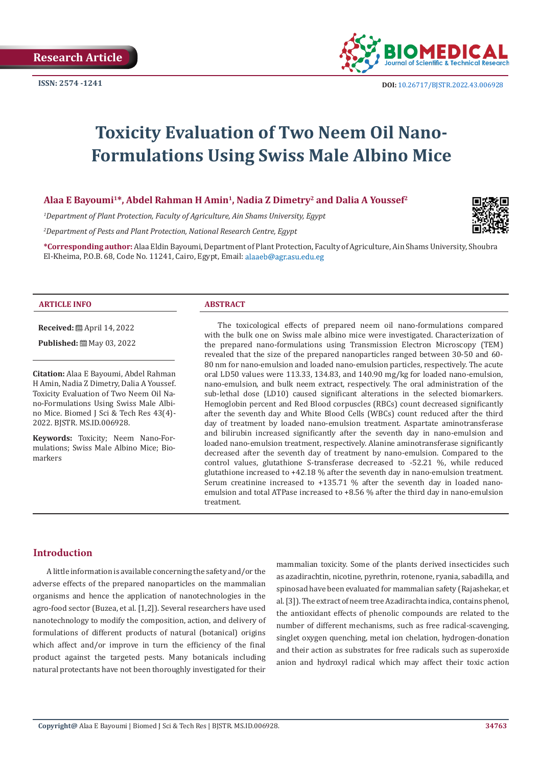

**ISSN:** 2574 -1241 **DOI:** [10.26717/BJSTR.2022.43.006928](https://dx.doi.org/10.26717/BJSTR.2022.43.006928)

# **Toxicity Evaluation of Two Neem Oil Nano-Formulations Using Swiss Male Albino Mice**

# **Alaa E Bayoumi1\*, Abdel Rahman H Amin1, Nadia Z Dimetry2 and Dalia A Youssef2**

*1 Department of Plant Protection, Faculty of Agriculture, Ain Shams University, Egypt*

*2 Department of Pests and Plant Protection, National Research Centre, Egypt*

**\*Corresponding author:** Alaa Eldin Bayoumi, Department of Plant Protection, Faculty of Agriculture, Ain Shams University, Shoubra El-Kheima, P.O.B. 68, Code No. 11241, Cairo, Egypt, Email: alaaeb@agr.asu.edu.eg

#### **ARTICLE INFO ABSTRACT**

**Received:** April 14, 2022

**Published:** ■ May 03, 2022

**Citation:** Alaa E Bayoumi, Abdel Rahman H Amin, Nadia Z Dimetry, Dalia A Youssef. Toxicity Evaluation of Two Neem Oil Nano-Formulations Using Swiss Male Albino Mice. Biomed J Sci & Tech Res 43(4)- 2022. BJSTR. MS.ID.006928.

**Keywords:** Toxicity; Neem Nano-Formulations; Swiss Male Albino Mice; Biomarkers

The toxicological effects of prepared neem oil nano-formulations compared with the bulk one on Swiss male albino mice were investigated. Characterization of the prepared nano-formulations using Transmission Electron Microscopy (TEM) revealed that the size of the prepared nanoparticles ranged between 30-50 and 60- 80 nm for nano-emulsion and loaded nano-emulsion particles, respectively. The acute oral LD50 values were 113.33, 134.83, and 140.90 mg/kg for loaded nano-emulsion, nano-emulsion, and bulk neem extract, respectively. The oral administration of the sub-lethal dose (LD10) caused significant alterations in the selected biomarkers. Hemoglobin percent and Red Blood corpuscles (RBCs) count decreased significantly after the seventh day and White Blood Cells (WBCs) count reduced after the third day of treatment by loaded nano-emulsion treatment. Aspartate aminotransferase and bilirubin increased significantly after the seventh day in nano-emulsion and loaded nano-emulsion treatment, respectively. Alanine aminotransferase significantly decreased after the seventh day of treatment by nano-emulsion. Compared to the control values, glutathione S-transferase decreased to -52.21 %, while reduced glutathione increased to +42.18 % after the seventh day in nano-emulsion treatment. Serum creatinine increased to +135.71 % after the seventh day in loaded nanoemulsion and total ATPase increased to +8.56 % after the third day in nano-emulsion treatment.

# **Introduction**

A little information is available concerning the safety and/or the adverse effects of the prepared nanoparticles on the mammalian organisms and hence the application of nanotechnologies in the agro-food sector (Buzea, et al. [1,2]). Several researchers have used nanotechnology to modify the composition, action, and delivery of formulations of different products of natural (botanical) origins which affect and/or improve in turn the efficiency of the final product against the targeted pests. Many botanicals including natural protectants have not been thoroughly investigated for their

mammalian toxicity. Some of the plants derived insecticides such as azadirachtin, nicotine, pyrethrin, rotenone, ryania, sabadilla, and spinosad have been evaluated for mammalian safety (Rajashekar, et al. [3]). The extract of neem tree Azadirachta indica, contains phenol, the antioxidant effects of phenolic compounds are related to the number of different mechanisms, such as free radical-scavenging, singlet oxygen quenching, metal ion chelation, hydrogen-donation and their action as substrates for free radicals such as superoxide anion and hydroxyl radical which may affect their toxic action

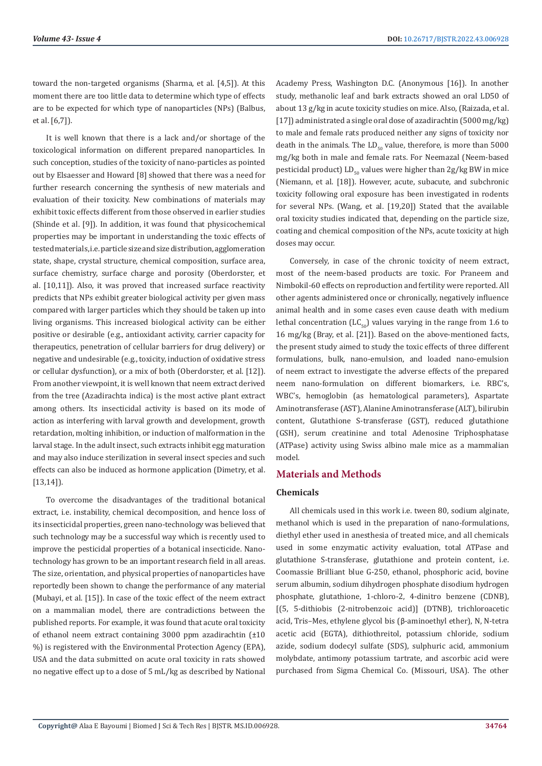toward the non-targeted organisms (Sharma, et al. [4,5]). At this moment there are too little data to determine which type of effects are to be expected for which type of nanoparticles (NPs) (Balbus, et al. [6,7]).

It is well known that there is a lack and/or shortage of the toxicological information on different prepared nanoparticles. In such conception, studies of the toxicity of nano-particles as pointed out by Elsaesser and Howard [8] showed that there was a need for further research concerning the synthesis of new materials and evaluation of their toxicity. New combinations of materials may exhibit toxic effects different from those observed in earlier studies (Shinde et al. [9]). In addition, it was found that physicochemical properties may be important in understanding the toxic effects of tested materials, i.e. particle size and size distribution, agglomeration state, shape, crystal structure, chemical composition, surface area, surface chemistry, surface charge and porosity (Oberdorster, et al. [10,11]). Also, it was proved that increased surface reactivity predicts that NPs exhibit greater biological activity per given mass compared with larger particles which they should be taken up into living organisms. This increased biological activity can be either positive or desirable (e.g., antioxidant activity, carrier capacity for therapeutics, penetration of cellular barriers for drug delivery) or negative and undesirable (e.g., toxicity, induction of oxidative stress or cellular dysfunction), or a mix of both (Oberdorster, et al. [12]). From another viewpoint, it is well known that neem extract derived from the tree (Azadirachta indica) is the most active plant extract among others. Its insecticidal activity is based on its mode of action as interfering with larval growth and development, growth retardation, molting inhibition, or induction of malformation in the larval stage. In the adult insect, such extracts inhibit egg maturation and may also induce sterilization in several insect species and such effects can also be induced as hormone application (Dimetry, et al. [13,14]).

To overcome the disadvantages of the traditional botanical extract, i.e. instability, chemical decomposition, and hence loss of its insecticidal properties, green nano-technology was believed that such technology may be a successful way which is recently used to improve the pesticidal properties of a botanical insecticide. Nanotechnology has grown to be an important research field in all areas. The size, orientation, and physical properties of nanoparticles have reportedly been shown to change the performance of any material (Mubayi, et al. [15]). In case of the toxic effect of the neem extract on a mammalian model, there are contradictions between the published reports. For example, it was found that acute oral toxicity of ethanol neem extract containing 3000 ppm azadirachtin (±10 %) is registered with the Environmental Protection Agency (EPA), USA and the data submitted on acute oral toxicity in rats showed no negative effect up to a dose of 5 mL/kg as described by National

Academy Press, Washington D.C. (Anonymous [16]). In another study, methanolic leaf and bark extracts showed an oral LD50 of about 13 g/kg in acute toxicity studies on mice. Also, (Raizada, et al. [17]) administrated a single oral dose of azadirachtin (5000 mg/kg) to male and female rats produced neither any signs of toxicity nor death in the animals. The  $LD_{50}$  value, therefore, is more than 5000 mg/kg both in male and female rats. For Neemazal (Neem-based pesticidal product)  $LD_{50}$  values were higher than 2g/kg BW in mice (Niemann, et al. [18]). However, acute, subacute, and subchronic toxicity following oral exposure has been investigated in rodents for several NPs. (Wang, et al. [19,20]) Stated that the available oral toxicity studies indicated that, depending on the particle size, coating and chemical composition of the NPs, acute toxicity at high doses may occur.

Conversely, in case of the chronic toxicity of neem extract, most of the neem-based products are toxic. For Praneem and Nimbokil-60 effects on reproduction and fertility were reported. All other agents administered once or chronically, negatively influence animal health and in some cases even cause death with medium lethal concentration (LC $_{50}$ ) values varying in the range from 1.6 to 16 mg/kg (Bray, et al. [21]). Based on the above-mentioned facts, the present study aimed to study the toxic effects of three different formulations, bulk, nano-emulsion, and loaded nano-emulsion of neem extract to investigate the adverse effects of the prepared neem nano-formulation on different biomarkers, i.e. RBC's, WBC's, hemoglobin (as hematological parameters), Aspartate Aminotransferase (AST), Alanine Aminotransferase (ALT), bilirubin content, Glutathione S-transferase (GST), reduced glutathione (GSH), serum creatinine and total Adenosine Triphosphatase (ATPase) activity using Swiss albino male mice as a mammalian model.

### **Materials and Methods**

### **Chemicals**

All chemicals used in this work i.e. tween 80, sodium alginate, methanol which is used in the preparation of nano-formulations, diethyl ether used in anesthesia of treated mice, and all chemicals used in some enzymatic activity evaluation, total ATPase and glutathione S-transferase, glutathione and protein content, i.e. Coomassie Brilliant blue G-250, ethanol, phosphoric acid, bovine serum albumin, sodium dihydrogen phosphate disodium hydrogen phosphate, glutathione, 1-chloro-2, 4-dinitro benzene (CDNB), [(5, 5-dithiobis (2-nitrobenzoic acid)] (DTNB), trichloroacetic acid, Tris–Mes, ethylene glycol bis (β-aminoethyl ether), N, N-tetra acetic acid (EGTA), dithiothreitol, potassium chloride, sodium azide, sodium dodecyl sulfate (SDS), sulphuric acid, ammonium molybdate, antimony potassium tartrate, and ascorbic acid were purchased from Sigma Chemical Co. (Missouri, USA). The other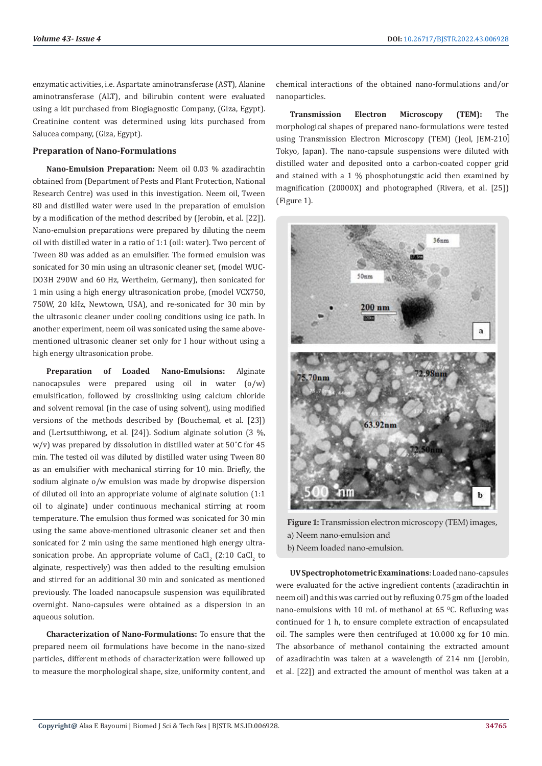enzymatic activities, i.e. Aspartate aminotransferase (AST), Alanine aminotransferase (ALT), and bilirubin content were evaluated using a kit purchased from Biogiagnostic Company, (Giza, Egypt). Creatinine content was determined using kits purchased from Salucea company, (Giza, Egypt).

#### **Preparation of Nano-Formulations**

**Nano-Emulsion Preparation:** Neem oil 0.03 % azadirachtin obtained from (Department of Pests and Plant Protection, National Research Centre) was used in this investigation. Neem oil, Tween 80 and distilled water were used in the preparation of emulsion by a modification of the method described by (Jerobin, et al. [22]). Nano-emulsion preparations were prepared by diluting the neem oil with distilled water in a ratio of 1:1 (oil: water). Two percent of Tween 80 was added as an emulsifier. The formed emulsion was sonicated for 30 min using an ultrasonic cleaner set, (model WUC-DO3H 290W and 60 Hz, Wertheim, Germany), then sonicated for 1 min using a high energy ultrasonication probe, (model VCX750, 750W, 20 kHz, Newtown, USA), and re-sonicated for 30 min by the ultrasonic cleaner under cooling conditions using ice path. In another experiment, neem oil was sonicated using the same abovementioned ultrasonic cleaner set only for I hour without using a high energy ultrasonication probe.

**Preparation of Loaded Nano-Emulsions:** Alginate nanocapsules were prepared using oil in water (o/w) emulsification, followed by crosslinking using calcium chloride and solvent removal (in the case of using solvent), using modified versions of the methods described by (Bouchemal, et al. [23]) and (Lertsutthiwong, et al. [24]). Sodium alginate solution (3 %, w/v) was prepared by dissolution in distilled water at 50˚C for 45 min. The tested oil was diluted by distilled water using Tween 80 as an emulsifier with mechanical stirring for 10 min. Briefly, the sodium alginate o/w emulsion was made by dropwise dispersion of diluted oil into an appropriate volume of alginate solution (1:1 oil to alginate) under continuous mechanical stirring at room temperature. The emulsion thus formed was sonicated for 30 min using the same above-mentioned ultrasonic cleaner set and then sonicated for 2 min using the same mentioned high energy ultrasonication probe. An appropriate volume of  $\text{CaCl}_{2}$  (2:10  $\text{CaCl}_{2}$  to alginate, respectively) was then added to the resulting emulsion and stirred for an additional 30 min and sonicated as mentioned previously. The loaded nanocapsule suspension was equilibrated overnight. Nano-capsules were obtained as a dispersion in an aqueous solution.

**Characterization of Nano-Formulations:** To ensure that the prepared neem oil formulations have become in the nano-sized particles, different methods of characterization were followed up to measure the morphological shape, size, uniformity content, and

chemical interactions of the obtained nano-formulations and/or nanoparticles.

**Transmission Electron Microscopy (TEM):** The morphological shapes of prepared nano-formulations were tested using Transmission Electron Microscopy (TEM) (Jeol, JEM-210, Tokyo, Japan). The nano-capsule suspensions were diluted with distilled water and deposited onto a carbon-coated copper grid and stained with a 1 % phosphotungstic acid then examined by magnification (20000X) and photographed (Rivera, et al. [25]) (Figure 1).



**Figure 1:** Transmission electron microscopy (TEM) images, a) Neem nano-emulsion and b) Neem loaded nano-emulsion.

**UV Spectrophotometric Examinations**: Loaded nano-capsules were evaluated for the active ingredient contents (azadirachtin in neem oil) and this was carried out by refluxing 0.75 gm of the loaded nano-emulsions with 10 mL of methanol at 65  $^{\circ}$ C. Refluxing was continued for 1 h, to ensure complete extraction of encapsulated oil. The samples were then centrifuged at 10.000 xg for 10 min. The absorbance of methanol containing the extracted amount of azadirachtin was taken at a wavelength of 214 nm (Jerobin, et al. [22]) and extracted the amount of menthol was taken at a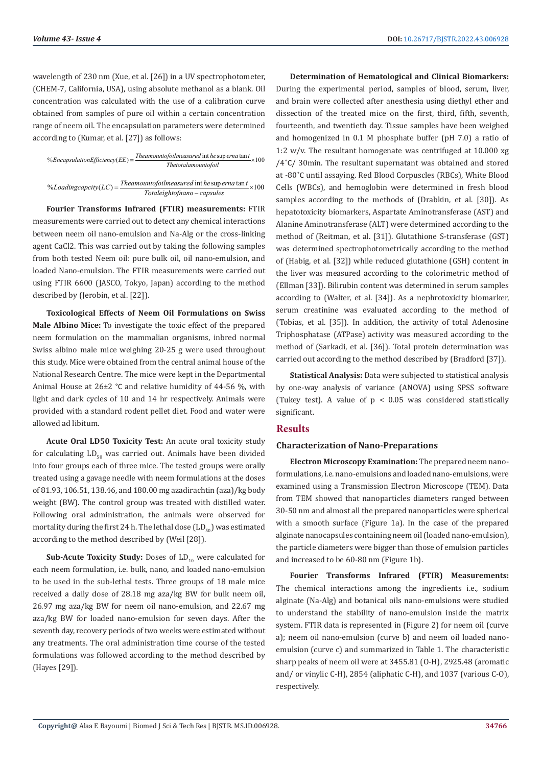wavelength of 230 nm (Xue, et al. [26]) in a UV spectrophotometer, (CHEM-7, California, USA), using absolute methanol as a blank. Oil concentration was calculated with the use of a calibration curve obtained from samples of pure oil within a certain concentration range of neem oil. The encapsulation parameters were determined according to (Kumar, et al. [27]) as follows:

%EncapsulationEfficiency(EE) = 
$$
\frac{The amount of oil measured in the superna tan t}{The total amount of oil}
$$
  
\n% Local integration (LC) = The amount of oil measured in the superna tan t  
\n% A cadine example (LC) = The amount of oil measured in the superna tan t

int sup tan % ( ) <sup>100</sup> *Theamountofoilmeasured he erna t Loadingcapcity LC Totaleightofnano capsules* <sup>=</sup> <sup>×</sup> <sup>−</sup>

**Fourier Transforms Infrared (FTIR) measurements:** FTIR measurements were carried out to detect any chemical interactions between neem oil nano-emulsion and Na-Alg or the cross-linking agent CaCl2. This was carried out by taking the following samples from both tested Neem oil: pure bulk oil, oil nano-emulsion, and loaded Nano-emulsion. The FTIR measurements were carried out using FTIR 6600 (JASCO, Tokyo, Japan) according to the method described by (Jerobin, et al. [22]).

**Toxicological Effects of Neem Oil Formulations on Swiss Male Albino Mice:** To investigate the toxic effect of the prepared neem formulation on the mammalian organisms, inbred normal Swiss albino male mice weighing 20-25 g were used throughout this study. Mice were obtained from the central animal house of the National Research Centre. The mice were kept in the Departmental Animal House at 26±2 °C and relative humidity of 44-56 %, with light and dark cycles of 10 and 14 hr respectively. Animals were provided with a standard rodent pellet diet. Food and water were allowed ad libitum.

**Acute Oral LD50 Toxicity Test:** An acute oral toxicity study for calculating  $LD_{\epsilon_0}$  was carried out. Animals have been divided into four groups each of three mice. The tested groups were orally treated using a gavage needle with neem formulations at the doses of 81.93, 106.51, 138.46, and 180.00 mg azadirachtin (aza)/kg body weight (BW). The control group was treated with distilled water. Following oral administration, the animals were observed for mortality during the first 24 h. The lethal dose  $\left(LD_{50}\right)$  was estimated according to the method described by (Weil [28]).

**Sub-Acute Toxicity Study:** Doses of LD<sub>10</sub> were calculated for each neem formulation, i.e. bulk, nano, and loaded nano-emulsion to be used in the sub-lethal tests. Three groups of 18 male mice received a daily dose of 28.18 mg aza/kg BW for bulk neem oil, 26.97 mg aza/kg BW for neem oil nano-emulsion, and 22.67 mg aza/kg BW for loaded nano-emulsion for seven days. After the seventh day, recovery periods of two weeks were estimated without any treatments. The oral administration time course of the tested formulations was followed according to the method described by (Hayes [29]).

**Determination of Hematological and Clinical Biomarkers:**  During the experimental period, samples of blood, serum, liver, and brain were collected after anesthesia using diethyl ether and dissection of the treated mice on the first, third, fifth, seventh, fourteenth, and twentieth day. Tissue samples have been weighed and homogenized in 0.1 M phosphate buffer (pH 7.0) a ratio of 1:2 w/v. The resultant homogenate was centrifuged at 10.000 xg /4˚C/ 30min. The resultant supernatant was obtained and stored at -80˚C until assaying. Red Blood Corpuscles (RBCs), White Blood Cells (WBCs), and hemoglobin were determined in fresh blood samples according to the methods of (Drabkin, et al. [30]). As hepatotoxicity biomarkers, Aspartate Aminotransferase (AST) and Alanine Aminotransferase (ALT) were determined according to the method of (Reitman, et al. [31]). Glutathione S-transferase (GST) was determined spectrophotometrically according to the method of (Habig, et al. [32]) while reduced glutathione (GSH) content in the liver was measured according to the colorimetric method of (Ellman [33]). Bilirubin content was determined in serum samples according to (Walter, et al. [34]). As a nephrotoxicity biomarker, serum creatinine was evaluated according to the method of (Tobias, et al. [35]). In addition, the activity of total Adenosine Triphosphatase (ATPase) activity was measured according to the method of (Sarkadi, et al. [36]). Total protein determination was carried out according to the method described by (Bradford [37]).

**Statistical Analysis:** Data were subjected to statistical analysis by one-way analysis of variance (ANOVA) using SPSS software (Tukey test). A value of  $p < 0.05$  was considered statistically significant.

# **Results**

#### **Characterization of Nano-Preparations**

**Electron Microscopy Examination:** The prepared neem nanoformulations, i.e. nano-emulsions and loaded nano-emulsions, were examined using a Transmission Electron Microscope (TEM). Data from TEM showed that nanoparticles diameters ranged between 30-50 nm and almost all the prepared nanoparticles were spherical with a smooth surface (Figure 1a). In the case of the prepared alginate nanocapsules containing neem oil (loaded nano-emulsion), the particle diameters were bigger than those of emulsion particles and increased to be 60-80 nm (Figure 1b).

**Fourier Transforms Infrared (FTIR) Measurements:**  The chemical interactions among the ingredients i.e., sodium alginate (Na-Alg) and botanical oils nano-emulsions were studied to understand the stability of nano-emulsion inside the matrix system. FTIR data is represented in (Figure 2) for neem oil (curve a); neem oil nano-emulsion (curve b) and neem oil loaded nanoemulsion (curve c) and summarized in Table 1. The characteristic sharp peaks of neem oil were at 3455.81 (O-H), 2925.48 (aromatic and/ or vinylic C-H), 2854 (aliphatic C-H), and 1037 (various C-O), respectively.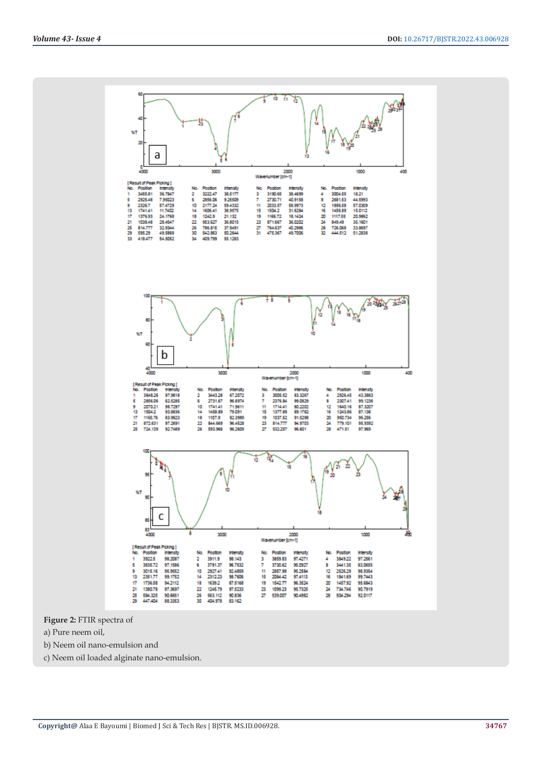

**Figure 2:** FTIR spectra of

- a) Pure neem oil,
- b) Neem oil nano-emulsion and
- c) Neem oil loaded alginate nano-emulsion.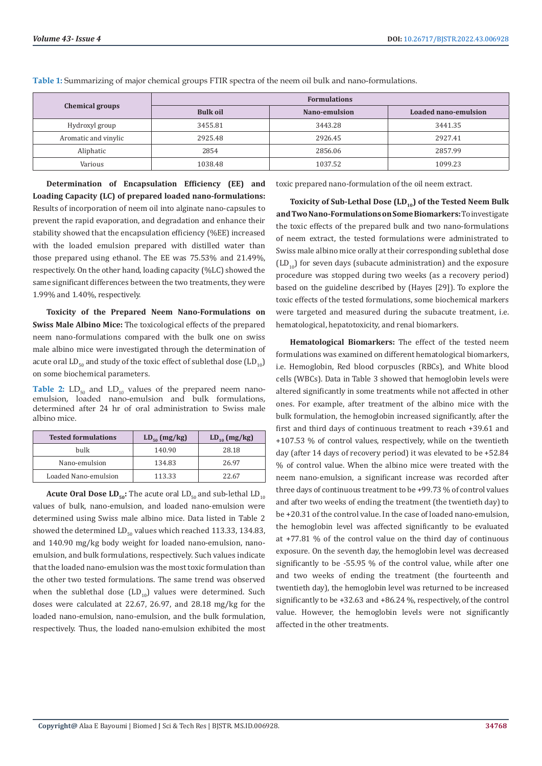| <b>Chemical groups</b> | <b>Formulations</b> |               |                      |  |  |  |  |
|------------------------|---------------------|---------------|----------------------|--|--|--|--|
|                        | <b>Bulk oil</b>     | Nano-emulsion | Loaded nano-emulsion |  |  |  |  |
| Hydroxyl group         | 3455.81             | 3443.28       | 3441.35              |  |  |  |  |
| Aromatic and vinylic   | 2925.48             | 2926.45       | 2927.41              |  |  |  |  |
| Aliphatic              | 2854                | 2856.06       | 2857.99              |  |  |  |  |
| Various                | 1038.48             | 1037.52       | 1099.23              |  |  |  |  |

**Table 1:** Summarizing of major chemical groups FTIR spectra of the neem oil bulk and nano-formulations.

**Determination of Encapsulation Efficiency (EE) and Loading Capacity (LC) of prepared loaded nano-formulations:**  Results of incorporation of neem oil into alginate nano-capsules to prevent the rapid evaporation, and degradation and enhance their stability showed that the encapsulation efficiency (%EE) increased with the loaded emulsion prepared with distilled water than those prepared using ethanol. The EE was 75.53% and 21.49%, respectively. On the other hand, loading capacity (%LC) showed the same significant differences between the two treatments, they were 1.99% and 1.40%, respectively.

**Toxicity of the Prepared Neem Nano-Formulations on Swiss Male Albino Mice:** The toxicological effects of the prepared neem nano-formulations compared with the bulk one on swiss male albino mice were investigated through the determination of acute oral  $LD_{50}$  and study of the toxic effect of sublethal dose  $(LD_{10})$ on some biochemical parameters.

**Table 2:**  $LD_{50}$  and  $LD_{10}$  values of the prepared neem nanoemulsion, loaded nano-emulsion and bulk formulations, determined after 24 hr of oral administration to Swiss male albino mice.

| <b>Tested formulations</b> | $LD_{50} (mg/kg)$ | $LD_{10}$ (mg/kg) |  |  |
|----------------------------|-------------------|-------------------|--|--|
| bulk                       | 140.90            | 28.18             |  |  |
| Nano-emulsion              | 134.83            | 26.97             |  |  |
| Loaded Nano-emulsion       | 113.33            | 22.67             |  |  |

**Acute Oral Dose**  $LD_{50}$ **:** The acute oral  $LD_{50}$  and sub-lethal  $LD_{10}$ values of bulk, nano-emulsion, and loaded nano-emulsion were determined using Swiss male albino mice. Data listed in Table 2 showed the determined  $LD_{50}$  values which reached 113.33, 134.83, and 140.90 mg/kg body weight for loaded nano-emulsion, nanoemulsion, and bulk formulations, respectively. Such values indicate that the loaded nano-emulsion was the most toxic formulation than the other two tested formulations. The same trend was observed when the sublethal dose  $(LD_{10})$  values were determined. Such doses were calculated at 22.67, 26.97, and 28.18 mg/kg for the loaded nano-emulsion, nano-emulsion, and the bulk formulation, respectively. Thus, the loaded nano-emulsion exhibited the most toxic prepared nano-formulation of the oil neem extract.

Toxicity of Sub-Lethal Dose (LD<sub>10</sub>) of the Tested Neem Bulk **and Two Nano-Formulations on Some Biomarkers:** To investigate the toxic effects of the prepared bulk and two nano-formulations of neem extract, the tested formulations were administrated to Swiss male albino mice orally at their corresponding sublethal dose  $(LD_{10})$  for seven days (subacute administration) and the exposure procedure was stopped during two weeks (as a recovery period) based on the guideline described by (Hayes [29]). To explore the toxic effects of the tested formulations, some biochemical markers were targeted and measured during the subacute treatment, i.e. hematological, hepatotoxicity, and renal biomarkers.

**Hematological Biomarkers:** The effect of the tested neem formulations was examined on different hematological biomarkers, i.e. Hemoglobin, Red blood corpuscles (RBCs), and White blood cells (WBCs). Data in Table 3 showed that hemoglobin levels were altered significantly in some treatments while not affected in other ones. For example, after treatment of the albino mice with the bulk formulation, the hemoglobin increased significantly, after the first and third days of continuous treatment to reach +39.61 and +107.53 % of control values, respectively, while on the twentieth day (after 14 days of recovery period) it was elevated to be +52.84 % of control value. When the albino mice were treated with the neem nano-emulsion, a significant increase was recorded after three days of continuous treatment to be +99.73 % of control values and after two weeks of ending the treatment (the twentieth day) to be +20.31 of the control value. In the case of loaded nano-emulsion, the hemoglobin level was affected significantly to be evaluated at +77.81 % of the control value on the third day of continuous exposure. On the seventh day, the hemoglobin level was decreased significantly to be -55.95 % of the control value, while after one and two weeks of ending the treatment (the fourteenth and twentieth day), the hemoglobin level was returned to be increased significantly to be +32.63 and +86.24 %, respectively, of the control value. However, the hemoglobin levels were not significantly affected in the other treatments.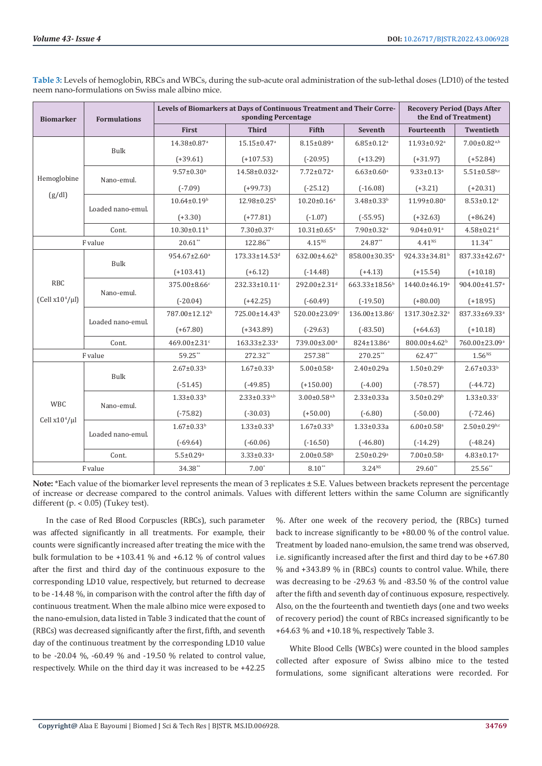| <b>Biomarker</b>    | <b>Formulations</b> | Levels of Biomarkers at Days of Continuous Treatment and Their Corre-<br><b>Recovery Period (Days After</b><br>the End of Treatment)<br>sponding Percentage |                               |                                |                              |                               |                                |  |
|---------------------|---------------------|-------------------------------------------------------------------------------------------------------------------------------------------------------------|-------------------------------|--------------------------------|------------------------------|-------------------------------|--------------------------------|--|
|                     |                     | First                                                                                                                                                       | <b>Third</b>                  | <b>Fifth</b>                   | Seventh                      | Fourteenth                    | Twentieth                      |  |
|                     | Bulk                | 14.38±0.87 <sup>a</sup>                                                                                                                                     | $15.15 \pm 0.47$ <sup>a</sup> | $8.15 \pm 0.89^a$              | $6.85 \pm 0.12$ <sup>a</sup> | $11.93 \pm 0.92$ <sup>a</sup> | $7.00 \pm 0.82$ <sub>a,b</sub> |  |
|                     |                     | $(+39.61)$                                                                                                                                                  | $(+107.53)$                   | $(-20.95)$                     | $(+13.29)$                   | $(+31.97)$                    | $(+52.84)$                     |  |
| Hemoglobine         | Nano-emul.          | $9.57 \pm 0.30^{\rm b}$                                                                                                                                     | 14.58±0.032 <sup>a</sup>      | $7.72 \pm 0.72$ <sup>a</sup>   | $6.63 \pm 0.60$ <sup>a</sup> | $9.33 \pm 0.13$ <sup>a</sup>  | $5.51 \pm 0.58$ b,c            |  |
| (g/dl)              |                     | $(-7.09)$                                                                                                                                                   | $(+99.73)$                    | $(-25.12)$                     | $(-16.08)$                   | $(+3.21)$                     | $(+20.31)$                     |  |
|                     | Loaded nano-emul.   | $10.64 \pm 0.19^b$                                                                                                                                          | 12.98±0.25 <sup>b</sup>       | $10.20 \pm 0.16^a$             | 3.48±0.33 <sup>b</sup>       | 11.99±0.80 <sup>a</sup>       | $8.53 \pm 0.12$ <sup>a</sup>   |  |
|                     |                     | $(+3.30)$                                                                                                                                                   | $(+77.81)$                    | $(-1.07)$                      | $(-55.95)$                   | $(+32.63)$                    | $(+86.24)$                     |  |
|                     | Cont.               | $10.30 \pm 0.11$ <sup>b</sup>                                                                                                                               | $7.30 \pm 0.37$ c             | $10.31 \pm 0.65^{\text{a}}$    | 7.90±0.32 <sup>a</sup>       | $9.04 \pm 0.91$ <sup>a</sup>  | $4.58 \pm 0.21$ <sup>d</sup>   |  |
|                     | F value             | $20.61^{\ast\ast}$                                                                                                                                          | 122.86**                      | 4.15 <sup>NS</sup>             | 24.87**                      | 4.41 <sup>NS</sup>            | $11.34**$                      |  |
|                     | Bulk                | 954.67±2.60 <sup>a</sup>                                                                                                                                    | 173.33±14.53 <sup>d</sup>     | 632.00±4.62 <sup>b</sup>       | 858.00±30.35 <sup>a</sup>    | 924.33±34.81 <sup>b</sup>     | 837.33±42.67ª                  |  |
|                     |                     | $(+103.41)$                                                                                                                                                 | $(+6.12)$                     | $(-14.48)$                     | $(+4.13)$                    | $(+15.54)$                    | $(+10.18)$                     |  |
| <b>RBC</b>          | Nano-emul.          | 375.00±8.66c                                                                                                                                                | 232.33±10.11c                 | 292.00±2.31 <sup>d</sup>       | 663.33±18.56 <sup>b</sup>    | 1440.0±46.19 <sup>a</sup>     | 904.00±41.57 <sup>a</sup>      |  |
| $(Cell x104/\mu l)$ |                     | $(-20.04)$                                                                                                                                                  | $(+42.25)$                    | $(-60.49)$                     | $(-19.50)$                   | $(+80.00)$                    | $(+18.95)$                     |  |
|                     | Loaded nano-emul.   | 787.00±12.12 <sup>b</sup>                                                                                                                                   | 725.00±14.43 <sup>b</sup>     | 520.00±23.09c                  | 136.00±13.86c                | 1317.30±2.32 <sup>a</sup>     | 837.33±69.33ª                  |  |
|                     |                     | $(+67.80)$                                                                                                                                                  | $(+343.89)$                   | $(-29.63)$                     | $(-83.50)$                   | $(+64.63)$                    | $(+10.18)$                     |  |
|                     | Cont.               | 469.00±2.31c                                                                                                                                                | 163.33±2.33 <sup>a</sup>      | 739.00±3.00 <sup>a</sup>       | 824±13.86 <sup>a</sup>       | 800.00±4.62 <sup>b</sup>      | 760.00±23.09 <sup>a</sup>      |  |
|                     | F value             | 59.25**                                                                                                                                                     | $272.32**$                    | 257.38**                       | 270.25**                     | 62.47**                       | 1.56 <sup>NS</sup>             |  |
|                     | Bulk                | $2.67 \pm 0.33^b$                                                                                                                                           | $1.67 \pm 0.33^b$             | $5.00 \pm 0.58$ <sup>a</sup>   | $2.40 \pm 0.29a$             | $1.50 \pm 0.29$ <sup>b</sup>  | $2.67 \pm 0.33^b$              |  |
|                     |                     | $(-51.45)$                                                                                                                                                  | $(-49.85)$                    | $(+150.00)$                    | $(-4.00)$                    | $(-78.57)$                    | $(-44.72)$                     |  |
| <b>WBC</b>          |                     | $1.33 \pm 0.33^b$                                                                                                                                           | $2.33 \pm 0.33^{a,b}$         | $3.00 \pm 0.58$ <sub>a,b</sub> | $2.33 \pm 0.33a$             | $3.50 \pm 0.29$ <sup>b</sup>  | $1.33 \pm 0.33$ c              |  |
| Cell $x10^4/\mu l$  | Nano-emul.          | $(-75.82)$                                                                                                                                                  | $(-30.03)$                    | $(+50.00)$                     | $(-6.80)$                    | $(-50.00)$                    | $(-72.46)$                     |  |
|                     |                     | $1.67 \pm 0.33$ <sup>b</sup>                                                                                                                                | $1.33 \pm 0.33^b$             | $1.67 \pm 0.33^b$              | $1.33 \pm 0.33a$             | $6.00 \pm 0.58$ <sup>a</sup>  | $2.50 \pm 0.29$ b,c            |  |
|                     | Loaded nano-emul.   | $(-69.64)$                                                                                                                                                  | $(-60.06)$                    | $(-16.50)$                     | $(-46.80)$                   | $(-14.29)$                    | $(-48.24)$                     |  |
|                     | Cont.               | $5.5 \pm 0.29$ <sup>a</sup>                                                                                                                                 | $3.33 \pm 0.33$ <sup>a</sup>  | $2.00 \pm 0.58$ <sup>b</sup>   | $2.50 \pm 0.29$ <sup>a</sup> | $7.00 \pm 0.58$ <sup>a</sup>  | $4.83 \pm 0.17$ <sup>a</sup>   |  |
| F value             |                     | 34.38**                                                                                                                                                     | $7.00*$                       | $8.10**$                       | $3.24^{NS}$                  | $29.60**$                     | 25.56**                        |  |

**Table 3:** Levels of hemoglobin, RBCs and WBCs, during the sub-acute oral administration of the sub-lethal doses (LD10) of the tested neem nano-formulations on Swiss male albino mice.

**Note:** \*Each value of the biomarker level represents the mean of 3 replicates ± S.E. Values between brackets represent the percentage of increase or decrease compared to the control animals. Values with different letters within the same Column are significantly different (p.  $< 0.05$ ) (Tukey test).

In the case of Red Blood Corpuscles (RBCs), such parameter was affected significantly in all treatments. For example, their counts were significantly increased after treating the mice with the bulk formulation to be +103.41 % and +6.12 % of control values after the first and third day of the continuous exposure to the corresponding LD10 value, respectively, but returned to decrease to be -14.48 %, in comparison with the control after the fifth day of continuous treatment. When the male albino mice were exposed to the nano-emulsion, data listed in Table 3 indicated that the count of (RBCs) was decreased significantly after the first, fifth, and seventh day of the continuous treatment by the corresponding LD10 value to be -20.04 %, -60.49 % and -19.50 % related to control value, respectively. While on the third day it was increased to be +42.25

%. After one week of the recovery period, the (RBCs) turned back to increase significantly to be +80.00 % of the control value. Treatment by loaded nano-emulsion, the same trend was observed, i.e. significantly increased after the first and third day to be +67.80 % and +343.89 % in (RBCs) counts to control value. While, there was decreasing to be -29.63 % and -83.50 % of the control value after the fifth and seventh day of continuous exposure, respectively. Also, on the the fourteenth and twentieth days (one and two weeks of recovery period) the count of RBCs increased significantly to be +64.63 % and +10.18 %, respectively Table 3.

White Blood Cells (WBCs) were counted in the blood samples collected after exposure of Swiss albino mice to the tested formulations, some significant alterations were recorded. For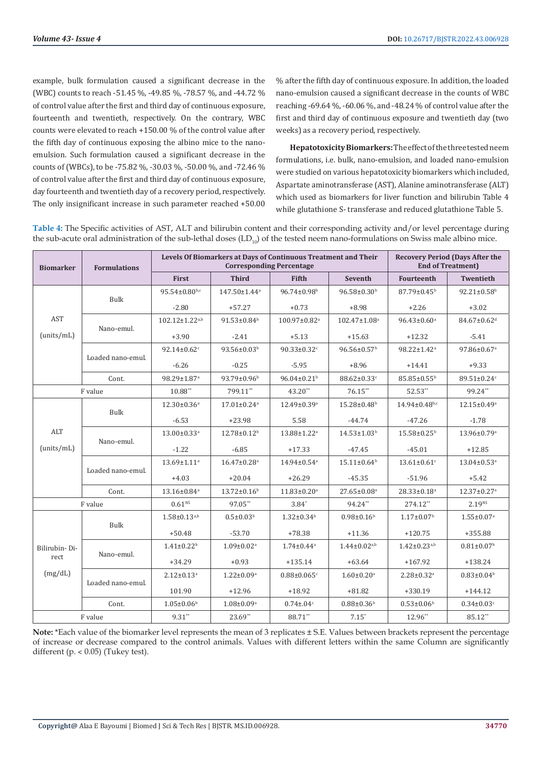example, bulk formulation caused a significant decrease in the (WBC) counts to reach -51.45 %, -49.85 %, -78.57 %, and -44.72 % of control value after the first and third day of continuous exposure, fourteenth and twentieth, respectively. On the contrary, WBC counts were elevated to reach +150.00 % of the control value after the fifth day of continuous exposing the albino mice to the nanoemulsion. Such formulation caused a significant decrease in the counts of (WBCs), to be -75.82 %, -30.03 %, -50.00 %, and -72.46 % of control value after the first and third day of continuous exposure, day fourteenth and twentieth day of a recovery period, respectively. The only insignificant increase in such parameter reached +50.00

% after the fifth day of continuous exposure. In addition, the loaded nano-emulsion caused a significant decrease in the counts of WBC reaching -69.64 %, -60.06 %, and -48.24 % of control value after the first and third day of continuous exposure and twentieth day (two weeks) as a recovery period, respectively.

**Hepatotoxicity Biomarkers:** The effect of the three tested neem formulations, i.e. bulk, nano-emulsion, and loaded nano-emulsion were studied on various hepatotoxicity biomarkers which included, Aspartate aminotransferase (AST), Alanine aminotransferase (ALT) which used as biomarkers for liver function and bilirubin Table 4 while glutathione S- transferase and reduced glutathione Table 5.

**Table 4:** The Specific activities of AST, ALT and bilirubin content and their corresponding activity and/or level percentage during the sub-acute oral administration of the sub-lethal doses  $(LD_{10})$  of the tested neem nano-formulations on Swiss male albino mice.

| <b>Biomarker</b>  | <b>Formulations</b> | Levels Of Biomarkers at Days of Continuous Treatment and Their |                                | <b>Recovery Period (Days After the</b><br><b>End of Treatment)</b> |                              |                                                                                        |                               |
|-------------------|---------------------|----------------------------------------------------------------|--------------------------------|--------------------------------------------------------------------|------------------------------|----------------------------------------------------------------------------------------|-------------------------------|
|                   |                     | First                                                          | <b>Third</b>                   | <b>Fifth</b>                                                       | Seventh                      | <b>Fourteenth</b>                                                                      | <b>Twentieth</b>              |
|                   | <b>Bulk</b>         | $95.54 \pm 0.80$ <sub>b,c</sub>                                | $147.50 \pm 1.44$ <sup>a</sup> | $96.74 \pm 0.98$ <sup>b</sup>                                      | $96.58 \pm 0.30^{\circ}$     | $87.79 \pm 0.45^{\rm b}$                                                               | $92.21 \pm 0.58$ <sup>b</sup> |
|                   |                     | $-2.80$                                                        | $+57.27$                       | $+0.73$                                                            | $+8.98$                      | $+2.26$                                                                                | $+3.02$                       |
| <b>AST</b>        | Nano-emul.          | $102.12 \pm 1.22$ <sup>a,b</sup>                               | $91.53 \pm 0.84$ <sup>b</sup>  | 100.97±0.82 <sup>a</sup>                                           | 102.47±1.08 <sup>a</sup>     | $96.43 \pm 0.60$ <sup>a</sup>                                                          | 84.67±0.62 <sup>d</sup>       |
| (units/mL)        |                     | $+3.90$                                                        | $-2.41$                        | $+5.13$                                                            | $+15.63$                     | $+12.32$                                                                               | $-5.41$                       |
|                   | Loaded nano-emul.   | $92.14 \pm 0.62$ <sup>c</sup>                                  | $93.56 \pm 0.03^b$             | $90.33 \pm 0.32$ <sup>c</sup>                                      | $96.56 \pm 0.57^{\rm b}$     | 98.22±1.42 <sup>a</sup>                                                                | 97.86±0.67 <sup>a</sup>       |
|                   |                     | $-6.26$                                                        | $-0.25$                        | $-5.95$                                                            | $+8.96$                      | $+14.41$                                                                               | $+9.33$                       |
|                   | Cont.               | 98.29±1.87 <sup>a</sup>                                        | $93.79 \pm 0.96$               | $96.04 \pm 0.21$ <sup>b</sup>                                      | 88.62±0.33c                  | 85.85±0.55 <sup>b</sup>                                                                | 89.51±0.24c                   |
|                   | F value             | $10.88**$                                                      | 799.11**                       | 43.20**                                                            | $76.15**$                    | 52.53**                                                                                | 99.24**                       |
|                   |                     | 12.30±0.36 <sup>a</sup>                                        | $17.01 \pm 0.24$ <sup>a</sup>  | 12.49±0.39 <sup>a</sup>                                            | 15.28±0.48 <sup>b</sup>      | 14.94±0.48b,c                                                                          | 12.15±0.49 <sup>a</sup>       |
|                   | <b>Bulk</b>         | $-6.53$                                                        | $+23.98$                       | 5.58                                                               | $-44.74$                     | $-47.26$                                                                               | $-1.78$                       |
| ALT<br>(units/mL) | Nano-emul.          | $13.00 \pm 0.33$ <sup>a</sup>                                  | $12.78 \pm 0.12$ <sup>b</sup>  | $13.88 \pm 1.22$ <sup>a</sup>                                      | $14.53 \pm 1.03^b$           | $15.58 \pm 0.25^{\rm b}$                                                               | $13.96 \pm 0.79$ <sup>a</sup> |
|                   |                     | $-1.22$                                                        | $-6.85$                        | $+17.33$                                                           | $-47.45$                     | $-45.01$                                                                               | $+12.85$                      |
|                   | Loaded nano-emul.   | $13.69 \pm 1.11$ <sup>a</sup>                                  | $16.47 \pm 0.28$ <sup>a</sup>  | 14.94±0.54 <sup>a</sup>                                            | $15.11 \pm 0.64^b$           | $13.61 \pm 0.61$ <sup>c</sup>                                                          | $13.04 \pm 0.53$ <sup>a</sup> |
|                   |                     | $+4.03$                                                        | $+20.04$                       | $+26.29$                                                           | $-45.35$                     | $-51.96$                                                                               | $+5.42$                       |
|                   | Cont.               | 13.16±0.84 <sup>a</sup>                                        | $13.72 \pm 0.16$ <sup>b</sup>  | $11.83 \pm 0.20$ <sup>a</sup>                                      | 27.65±0.08 <sup>a</sup>      | 28.33±0.18 <sup>a</sup>                                                                | 12.37±0.27 <sup>a</sup>       |
|                   | F value             | 0.61 <sup>NS</sup>                                             | 97.05**                        | $3.84*$                                                            | 94.24**                      | 274.12**                                                                               | $2.19^{NS}$                   |
|                   | Bulk                | $1.58 \pm 0.13^{a,b}$                                          | $0.5 \pm 0.03^b$               | $1.32 \pm 0.34$ <sup>b</sup>                                       | $0.98 \pm 0.16$ <sup>b</sup> | $1.17 \pm 0.07$ <sup>b</sup><br>$1.55 \pm 0.07$ <sup>a</sup><br>$+355.88$<br>$+120.75$ |                               |
|                   |                     | $+50.48$                                                       | $-53.70$                       | $+78.38$                                                           | $+11.36$                     |                                                                                        |                               |
| Bilirubin-Di-     | Nano-emul.          | $1.41 \pm 0.22$ <sup>b</sup>                                   | $1.09 \pm 0.02$ <sup>a</sup>   | $1.74 \pm 0.44$ <sup>a</sup>                                       | $1.44 \pm 0.02^{a,b}$        | $1.42 \pm 0.23^{a,b}$                                                                  | $0.81 \pm 0.07$ <sup>b</sup>  |
| rect              |                     | $+34.29$                                                       | $+0.93$                        | $+135.14$                                                          | $+63.64$                     | $+167.92$                                                                              | $+138.24$                     |
| (mg/dL)           | Loaded nano-emul.   | $2.12 \pm 0.13$ <sup>a</sup>                                   | $1.22 \pm 0.09^a$              | $0.88 \pm 0.065$ <sup>c</sup>                                      | $1.60 \pm 0.20$ <sup>a</sup> | $2.28 \pm 0.32$ <sup>a</sup>                                                           | $0.83 \pm 0.04^b$             |
|                   |                     | 101.90                                                         | $+12.96$                       | $+18.92$                                                           | $+81.82$                     | $+330.19$                                                                              | $+144.12$                     |
|                   | Cont.               | $1.05 \pm 0.06$ <sup>b</sup>                                   | $1.08 \pm 0.09^a$              | $0.74 \pm 0.04$ c                                                  | $0.88 \pm 0.36$              | $0.53 \pm 0.06$ <sup>b</sup>                                                           | $0.34 \pm 0.03$ <sup>c</sup>  |
| F value           |                     | $9.31$ **                                                      | $23.69**$                      | 88.71**                                                            | $7.15*$                      | 12.96**                                                                                | $85.12**$                     |

**Note:** \*Each value of the biomarker level represents the mean of 3 replicates ± S.E. Values between brackets represent the percentage of increase or decrease compared to the control animals. Values with different letters within the same Column are significantly different  $(p. < 0.05)$  (Tukey test).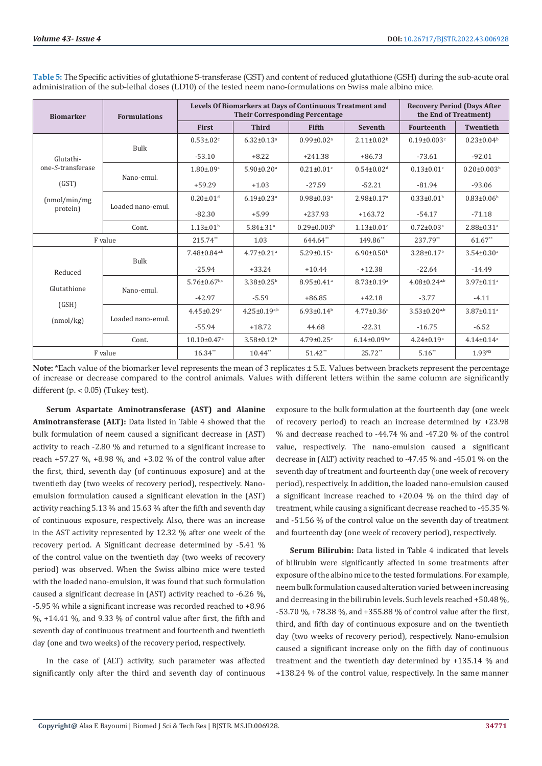| <b>Biomarker</b>   | <b>Formulations</b> |                                | Levels Of Biomarkers at Days of Continuous Treatment and<br><b>Their Corresponding Percentage</b> | <b>Recovery Period (Days After</b><br>the End of Treatment) |                                |                                |                               |
|--------------------|---------------------|--------------------------------|---------------------------------------------------------------------------------------------------|-------------------------------------------------------------|--------------------------------|--------------------------------|-------------------------------|
|                    |                     | <b>First</b>                   | <b>Third</b>                                                                                      | Fifth                                                       | <b>Seventh</b>                 | <b>Fourteenth</b>              | <b>Twentieth</b>              |
|                    |                     | $0.53 \pm 0.02$ <sup>c</sup>   | $6.32 \pm 0.13$ <sup>a</sup>                                                                      | $0.99 \pm 0.02$ <sup>a</sup>                                | $2.11 \pm 0.02$ <sup>b</sup>   | $0.19 \pm 0.003$ <sup>c</sup>  | $0.23 \pm 0.04^b$             |
| Glutathi-          | <b>Bulk</b>         | $-53.10$                       | $+8.22$                                                                                           | $+241.38$                                                   | $+86.73$                       | $-73.61$                       | $-92.01$                      |
| one-S-transferase  |                     | $1.80 \pm 0.09$ <sup>a</sup>   | $5.90 \pm 0.20$ <sup>a</sup>                                                                      | $0.21 \pm 0.01$ <sup>c</sup>                                | $0.54 \pm 0.02$ <sup>d</sup>   | $0.13 \pm 0.01$ <sup>c</sup>   | $0.20 \pm 0.003$ <sup>b</sup> |
| (GST)              | Nano-emul.          | $+59.29$                       | $+1.03$                                                                                           | $-27.59$                                                    | $-52.21$                       | $-81.94$                       | $-93.06$                      |
| (nmol/min/mg)      |                     | $0.20 \pm 0.01$ <sup>d</sup>   | $6.19 \pm 0.23$ <sup>a</sup>                                                                      | $0.98 \pm 0.03$ <sup>a</sup>                                | $2.98 \pm 0.17$ <sup>a</sup>   | $0.33 \pm 0.01$ <sup>b</sup>   | $0.83{\pm}0.06^{\rm b}$       |
| protein)           | Loaded nano-emul.   | $-82.30$                       | $+5.99$                                                                                           | $+237.93$                                                   | $+163.72$                      | $-54.17$                       | $-71.18$                      |
|                    | Cont.               | $1.13 \pm 0.01$                | $5.84 \pm .31$ <sup>a</sup>                                                                       | $0.29 \pm 0.003$ <sup>b</sup>                               | $1.13 \pm 0.01$ <sup>c</sup>   | $0.72 \pm 0.03$ <sup>a</sup>   | $2.88 \pm 0.31$ <sup>a</sup>  |
|                    | F value             | 215.74**                       | 1.03                                                                                              | 644.64**                                                    | 149.86**                       | 237.79**                       | $61.67**$                     |
|                    | <b>Bulk</b>         | $7.48 \pm 0.84$ <sup>a,b</sup> | $4.77 \pm 0.21$ <sup>a</sup>                                                                      | $5.29 \pm 0.15$ <sup>c</sup>                                | $6.90 \pm 0.50$ <sup>b</sup>   | $3.28 \pm 0.17$ <sup>b</sup>   | $3.54 \pm 0.30$ <sup>a</sup>  |
| Reduced            |                     | $-25.94$                       | $+33.24$                                                                                          | $+10.44$                                                    | $+12.38$                       | $-22.64$                       | $-14.49$                      |
| Glutathione        |                     | $5.76 \pm 0.67$ <sub>b,c</sub> | $3.38 \pm 0.25$ <sup>b</sup>                                                                      | $8.95 \pm 0.41$ <sup>a</sup>                                | $8.73 \pm 0.19$ <sup>a</sup>   | $4.08 \pm 0.24$ <sup>a,b</sup> | $3.97 \pm 0.11$ <sup>a</sup>  |
|                    | Nano-emul.          | $-42.97$                       | $-5.59$                                                                                           | $+86.85$                                                    | $+42.18$                       | $-3.77$                        | $-4.11$                       |
| (GSH)<br>(nmol/kg) |                     | $4.45 \pm 0.29$ <sup>c</sup>   | $4.25 \pm 0.19^{a,b}$                                                                             | $6.93 \pm 0.14^b$                                           | $4.77 \pm 0.36$ <sup>c</sup>   | $3.53 \pm 0.20^{a,b}$          | $3.87 \pm 0.11$ <sup>a</sup>  |
|                    | Loaded nano-emul.   | $-55.94$                       | $+18.72$                                                                                          | 44.68                                                       | $-22.31$                       | $-16.75$                       | $-6.52$                       |
|                    | Cont.               | $10.10 \pm 0.47$ <sup>a</sup>  | $3.58 \pm 0.12^b$                                                                                 | $4.79 \pm 0.25$ c                                           | $6.14 \pm 0.09$ <sub>b,c</sub> | $4.24 \pm 0.19$ <sup>a</sup>   | $4.14\pm0.14^a$               |
| F value            |                     | $16.34**$                      | $10.44$ **                                                                                        | $51.42**$                                                   | $25.72**$                      | $5.16**$                       | 1.93 <sup>NS</sup>            |

**Table 5:** The Specific activities of glutathione S-transferase (GST) and content of reduced glutathione (GSH) during the sub-acute oral administration of the sub-lethal doses (LD10) of the tested neem nano-formulations on Swiss male albino mice.

**Note:** \*Each value of the biomarker level represents the mean of 3 replicates ± S.E. Values between brackets represent the percentage of increase or decrease compared to the control animals. Values with different letters within the same column are significantly different (p.  $< 0.05$ ) (Tukey test).

**Serum Aspartate Aminotransferase (AST) and Alanine Aminotransferase (ALT):** Data listed in Table 4 showed that the bulk formulation of neem caused a significant decrease in (AST) activity to reach -2.80 % and returned to a significant increase to reach +57.27 %, +8.98 %, and +3.02 % of the control value after the first, third, seventh day (of continuous exposure) and at the twentieth day (two weeks of recovery period), respectively. Nanoemulsion formulation caused a significant elevation in the (AST) activity reaching 5.13 % and 15.63 % after the fifth and seventh day of continuous exposure, respectively. Also, there was an increase in the AST activity represented by 12.32 % after one week of the recovery period. A Significant decrease determined by -5.41 % of the control value on the twentieth day (two weeks of recovery period) was observed. When the Swiss albino mice were tested with the loaded nano-emulsion, it was found that such formulation caused a significant decrease in (AST) activity reached to -6.26 %, -5.95 % while a significant increase was recorded reached to +8.96  $\%$ , +14.41  $\%$ , and 9.33  $\%$  of control value after first, the fifth and seventh day of continuous treatment and fourteenth and twentieth day (one and two weeks) of the recovery period, respectively.

In the case of (ALT) activity, such parameter was affected significantly only after the third and seventh day of continuous exposure to the bulk formulation at the fourteenth day (one week of recovery period) to reach an increase determined by +23.98 % and decrease reached to -44.74 % and -47.20 % of the control value, respectively. The nano-emulsion caused a significant decrease in (ALT) activity reached to -47.45 % and -45.01 % on the seventh day of treatment and fourteenth day (one week of recovery period), respectively. In addition, the loaded nano-emulsion caused a significant increase reached to +20.04 % on the third day of treatment, while causing a significant decrease reached to -45.35 % and -51.56 % of the control value on the seventh day of treatment and fourteenth day (one week of recovery period), respectively.

**Serum Bilirubin:** Data listed in Table 4 indicated that levels of bilirubin were significantly affected in some treatments after exposure of the albino mice to the tested formulations. For example, neem bulk formulation caused alteration varied between increasing and decreasing in the bilirubin levels. Such levels reached +50.48 %, -53.70 %, +78.38 %, and +355.88 % of control value after the first, third, and fifth day of continuous exposure and on the twentieth day (two weeks of recovery period), respectively. Nano-emulsion caused a significant increase only on the fifth day of continuous treatment and the twentieth day determined by +135.14 % and +138.24 % of the control value, respectively. In the same manner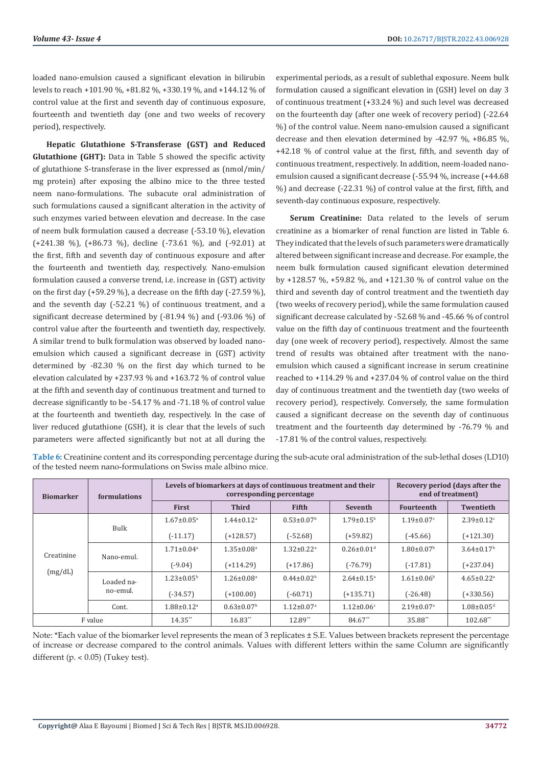loaded nano-emulsion caused a significant elevation in bilirubin levels to reach +101.90 %, +81.82 %, +330.19 %, and +144.12 % of control value at the first and seventh day of continuous exposure, fourteenth and twentieth day (one and two weeks of recovery period), respectively.

**Hepatic Glutathione S-Transferase (GST) and Reduced Glutathione (GHT):** Data in Table 5 showed the specific activity of glutathione S-transferase in the liver expressed as (nmol/min/ mg protein) after exposing the albino mice to the three tested neem nano-formulations. The subacute oral administration of such formulations caused a significant alteration in the activity of such enzymes varied between elevation and decrease. In the case of neem bulk formulation caused a decrease (-53.10 %), elevation (+241.38 %), (+86.73 %), decline (-73.61 %), and (-92.01) at the first, fifth and seventh day of continuous exposure and after the fourteenth and twentieth day, respectively. Nano-emulsion formulation caused a converse trend, i.e. increase in (GST) activity on the first day (+59.29 %), a decrease on the fifth day (-27.59 %), and the seventh day (-52.21 %) of continuous treatment, and a significant decrease determined by (-81.94 %) and (-93.06 %) of control value after the fourteenth and twentieth day, respectively. A similar trend to bulk formulation was observed by loaded nanoemulsion which caused a significant decrease in (GST) activity determined by -82.30 % on the first day which turned to be elevation calculated by +237.93 % and +163.72 % of control value at the fifth and seventh day of continuous treatment and turned to decrease significantly to be -54.17 % and -71.18 % of control value at the fourteenth and twentieth day, respectively. In the case of liver reduced glutathione (GSH), it is clear that the levels of such parameters were affected significantly but not at all during the

experimental periods, as a result of sublethal exposure. Neem bulk formulation caused a significant elevation in (GSH) level on day 3 of continuous treatment (+33.24 %) and such level was decreased on the fourteenth day (after one week of recovery period) (-22.64 %) of the control value. Neem nano-emulsion caused a significant decrease and then elevation determined by -42.97 %, +86.85 %, +42.18 % of control value at the first, fifth, and seventh day of continuous treatment, respectively. In addition, neem-loaded nanoemulsion caused a significant decrease (-55.94 %, increase (+44.68 %) and decrease (-22.31 %) of control value at the first, fifth, and seventh-day continuous exposure, respectively.

**Serum Creatinine:** Data related to the levels of serum creatinine as a biomarker of renal function are listed in Table 6. They indicated that the levels of such parameters were dramatically altered between significant increase and decrease. For example, the neem bulk formulation caused significant elevation determined by +128.57 %, +59.82 %, and +121.30 % of control value on the third and seventh day of control treatment and the twentieth day (two weeks of recovery period), while the same formulation caused significant decrease calculated by -52.68 % and -45.66 % of control value on the fifth day of continuous treatment and the fourteenth day (one week of recovery period), respectively. Almost the same trend of results was obtained after treatment with the nanoemulsion which caused a significant increase in serum creatinine reached to +114.29 % and +237.04 % of control value on the third day of continuous treatment and the twentieth day (two weeks of recovery period), respectively. Conversely, the same formulation caused a significant decrease on the seventh day of continuous treatment and the fourteenth day determined by -76.79 % and -17.81 % of the control values, respectively.

| <b>Biomarker</b>      | <b>formulations</b>    |                              | Levels of biomarkers at days of continuous treatment and their<br>corresponding percentage | Recovery period (days after the<br>end of treatment) |                              |                              |                              |
|-----------------------|------------------------|------------------------------|--------------------------------------------------------------------------------------------|------------------------------------------------------|------------------------------|------------------------------|------------------------------|
|                       |                        | <b>First</b>                 | <b>Third</b>                                                                               | Fifth                                                | <b>Seventh</b>               | <b>Fourteenth</b>            | <b>Twentieth</b>             |
|                       | <b>Bulk</b>            | $1.67 \pm 0.05^{\text{a}}$   | $1.44 \pm 0.12$ <sup>a</sup>                                                               | $0.53 \pm 0.07$ <sup>b</sup>                         | $1.79 \pm 0.15^{\rm b}$      | $1.19 \pm 0.07$ <sup>c</sup> | $2.39 \pm 0.12$ <sup>c</sup> |
|                       |                        | $(-11.17)$                   | $(+128.57)$                                                                                | $(-52.68)$                                           | $(+59.82)$                   | $(-45.66)$                   | $(+121.30)$                  |
| Creatinine<br>(mg/dL) | Nano-emul.             | $1.71 \pm 0.04$ <sup>a</sup> | $1.35 \pm 0.08$ <sup>a</sup>                                                               | $1.32 \pm 0.22$ <sup>a</sup>                         | $0.26 \pm 0.01$ <sup>d</sup> | $1.80 \pm 0.07$ <sup>b</sup> | $3.64 \pm 0.17^b$            |
|                       |                        | $(-9.04)$                    | $(+114.29)$                                                                                | $(+17.86)$                                           | $(-76.79)$                   | $(-17.81)$                   | $(+237.04)$                  |
|                       | Loaded na-<br>no-emul. | $1.23 \pm 0.05^{\circ}$      | $1.26 \pm 0.08$ <sup>a</sup>                                                               | $0.44 \pm 0.02^b$                                    | $2.64 \pm 0.15$ <sup>a</sup> | $1.61 \pm 0.06^{\rm b}$      | $4.65 \pm 0.22$ <sup>a</sup> |
|                       |                        | $(-34.57)$                   | $(+100.00)$                                                                                | $(-60.71)$                                           | $(+135.71)$                  | $(-26.48)$                   | $(+330.56)$                  |
|                       | Cont.                  | $1.88 \pm 0.12$ <sup>a</sup> | $0.63 \pm 0.07$ <sup>b</sup>                                                               | $1.12 \pm 0.07$ <sup>a</sup>                         | $1.12 \pm 0.06$ <sup>c</sup> | $2.19 \pm 0.07$ <sup>a</sup> | $1.08 \pm 0.05$ <sup>d</sup> |
| F value               |                        | 14.35**                      | $16.83**$                                                                                  | 12.89**                                              | 84.67**                      | 35.88**                      | 102.68**                     |

**Table 6:** Creatinine content and its corresponding percentage during the sub-acute oral administration of the sub-lethal doses (LD10) of the tested neem nano-formulations on Swiss male albino mice.

Note: \*Each value of the biomarker level represents the mean of 3 replicates ± S.E. Values between brackets represent the percentage of increase or decrease compared to the control animals. Values with different letters within the same Column are significantly different (p.  $< 0.05$ ) (Tukey test).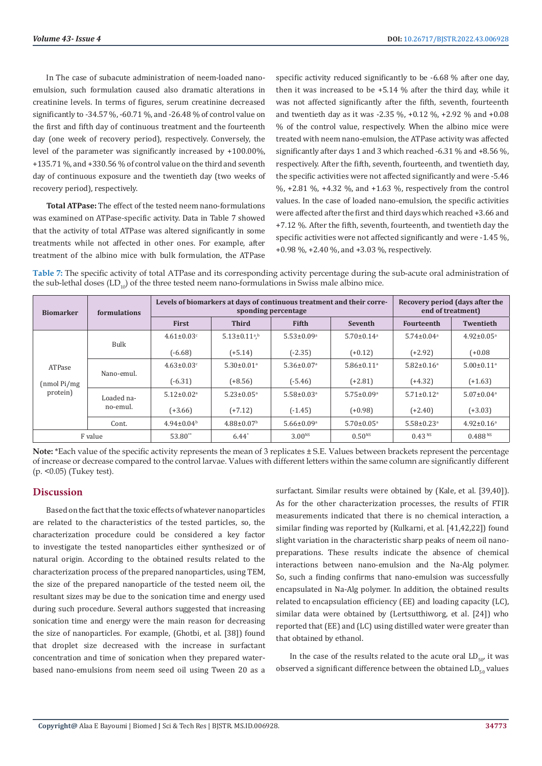In The case of subacute administration of neem-loaded nanoemulsion, such formulation caused also dramatic alterations in creatinine levels. In terms of figures, serum creatinine decreased significantly to -34.57 %, -60.71 %, and -26.48 % of control value on the first and fifth day of continuous treatment and the fourteenth day (one week of recovery period), respectively. Conversely, the level of the parameter was significantly increased by +100.00%, +135.71 %, and +330.56 % of control value on the third and seventh day of continuous exposure and the twentieth day (two weeks of recovery period), respectively.

**Total ATPase:** The effect of the tested neem nano-formulations was examined on ATPase-specific activity. Data in Table 7 showed that the activity of total ATPase was altered significantly in some treatments while not affected in other ones. For example, after treatment of the albino mice with bulk formulation, the ATPase specific activity reduced significantly to be -6.68 % after one day, then it was increased to be  $+5.14$  % after the third day, while it was not affected significantly after the fifth, seventh, fourteenth and twentieth day as it was -2.35 %, +0.12 %, +2.92 % and +0.08 % of the control value, respectively. When the albino mice were treated with neem nano-emulsion, the ATPase activity was affected significantly after days 1 and 3 which reached -6.31 % and +8.56 %, respectively. After the fifth, seventh, fourteenth, and twentieth day, the specific activities were not affected significantly and were -5.46  $\%$ , +2.81  $\%$ , +4.32  $\%$ , and +1.63  $\%$ , respectively from the control values. In the case of loaded nano-emulsion, the specific activities were affected after the first and third days which reached +3.66 and +7.12 %. After the fifth, seventh, fourteenth, and twentieth day the specific activities were not affected significantly and were -1.45 %, +0.98 %, +2.40 %, and +3.03 %, respectively.

**Table 7:** The specific activity of total ATPase and its corresponding activity percentage during the sub-acute oral administration of the sub-lethal doses  $(LD_{10})$  of the three tested neem nano-formulations in Swiss male albino mice.

| <b>Biomarker</b>                    | <b>formulations</b>    |                              | Levels of biomarkers at days of continuous treatment and their corre-<br>sponding percentage | Recovery period (days after the<br>end of treatment) |                              |                              |                              |
|-------------------------------------|------------------------|------------------------------|----------------------------------------------------------------------------------------------|------------------------------------------------------|------------------------------|------------------------------|------------------------------|
|                                     |                        | First                        | <b>Third</b>                                                                                 | <b>Fifth</b>                                         | <b>Seventh</b>               | <b>Fourteenth</b>            | <b>Twentieth</b>             |
|                                     | Bulk                   | $4.61 \pm 0.03$ <sup>c</sup> | $5.13 \pm 0.11^{a,b}$                                                                        | $5.53 \pm 0.09$ <sup>a</sup>                         | $5.70 \pm 0.14$ <sup>a</sup> | $5.74 \pm 0.04$ <sup>a</sup> | $4.92 \pm 0.05$ <sup>a</sup> |
| ATPase<br>$(nmol$ Pi/mg<br>protein) |                        | $(-6.68)$                    | $(+5.14)$                                                                                    | $(-2.35)$                                            | $(+0.12)$                    | $(+2.92)$                    | $(+0.08)$                    |
|                                     | Nano-emul.             | $4.63 \pm 0.03$ <sup>c</sup> | $5.30 \pm 0.01$ <sup>a</sup>                                                                 | $5.36 \pm 0.07$ <sup>a</sup>                         | $5.86 \pm 0.11$ <sup>a</sup> | $5.82 \pm 0.16$ <sup>a</sup> | $5.00 \pm 0.11$ <sup>a</sup> |
|                                     |                        | $(-6.31)$                    | $(+8.56)$                                                                                    | $(-5.46)$                                            | $(+2.81)$                    | $(+4.32)$                    | $(+1.63)$                    |
|                                     | Loaded na-<br>no-emul. | $5.12 \pm 0.02$ <sup>a</sup> | $5.23 \pm 0.05$ <sup>a</sup>                                                                 | $5.58 \pm 0.03$ <sup>a</sup>                         | $5.75 \pm 0.09$ <sup>a</sup> | $5.71 \pm 0.12$ <sup>a</sup> | $5.07 \pm 0.04$ <sup>a</sup> |
|                                     |                        | $(+3.66)$                    | $(+7.12)$                                                                                    | $(-1.45)$                                            | $(+0.98)$                    | $(+2.40)$                    | $(+3.03)$                    |
|                                     | Cont.                  | $4.94 \pm 0.04^b$            | $4.88 \pm 0.07$ <sup>b</sup>                                                                 | $5.66 \pm 0.09$ <sup>a</sup>                         | $5.70 \pm 0.05$ <sup>a</sup> | $5.58 \pm 0.23$ <sup>a</sup> | $4.92 \pm 0.16^a$            |
| F value                             |                        | 53.80**                      | $6.44*$                                                                                      | $3.00^{NS}$                                          | $0.50^{NS}$                  | 0.43 <sup>NS</sup>           | 0.488 <sup>NS</sup>          |

**Note:** \*Each value of the specific activity represents the mean of 3 replicates ± S.E. Values between brackets represent the percentage of increase or decrease compared to the control larvae. Values with different letters within the same column are significantly different (p. <0.05) (Tukey test).

#### **Discussion**

Based on the fact that the toxic effects of whatever nanoparticles are related to the characteristics of the tested particles, so, the characterization procedure could be considered a key factor to investigate the tested nanoparticles either synthesized or of natural origin. According to the obtained results related to the characterization process of the prepared nanoparticles, using TEM, the size of the prepared nanoparticle of the tested neem oil, the resultant sizes may be due to the sonication time and energy used during such procedure. Several authors suggested that increasing sonication time and energy were the main reason for decreasing the size of nanoparticles. For example, (Ghotbi, et al. [38]) found that droplet size decreased with the increase in surfactant concentration and time of sonication when they prepared waterbased nano-emulsions from neem seed oil using Tween 20 as a

surfactant. Similar results were obtained by (Kale, et al. [39,40]). As for the other characterization processes, the results of FTIR measurements indicated that there is no chemical interaction, a similar finding was reported by (Kulkarni, et al. [41,42,22]) found slight variation in the characteristic sharp peaks of neem oil nanopreparations. These results indicate the absence of chemical interactions between nano-emulsion and the Na-Alg polymer. So, such a finding confirms that nano-emulsion was successfully encapsulated in Na-Alg polymer. In addition, the obtained results related to encapsulation efficiency (EE) and loading capacity (LC), similar data were obtained by (Lertsutthiworg, et al. [24]) who reported that (EE) and (LC) using distilled water were greater than that obtained by ethanol.

In the case of the results related to the acute oral  $LD_{50}$  it was observed a significant difference between the obtained  $LD_{\epsilon_0}$  values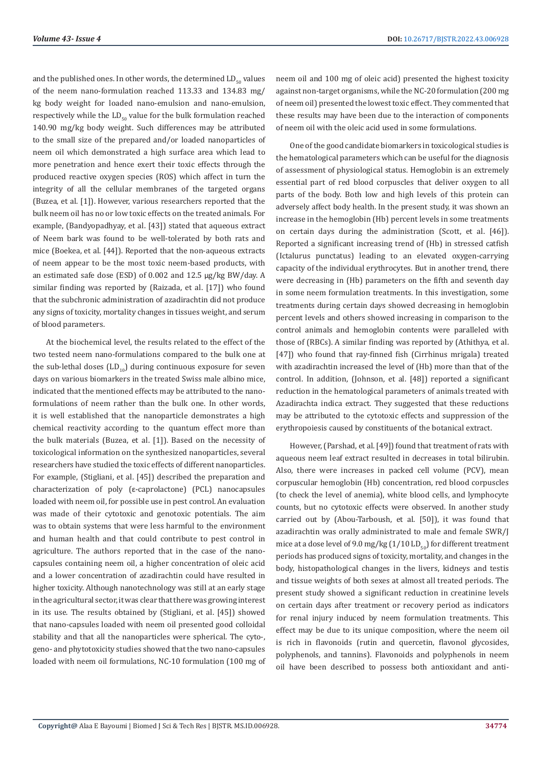and the published ones. In other words, the determined  $LD_{\text{eq}}$  values of the neem nano-formulation reached 113.33 and 134.83 mg/ kg body weight for loaded nano-emulsion and nano-emulsion, respectively while the  $LD_{50}$  value for the bulk formulation reached 140.90 mg/kg body weight. Such differences may be attributed to the small size of the prepared and/or loaded nanoparticles of neem oil which demonstrated a high surface area which lead to more penetration and hence exert their toxic effects through the produced reactive oxygen species (ROS) which affect in turn the integrity of all the cellular membranes of the targeted organs (Buzea, et al. [1]). However, various researchers reported that the bulk neem oil has no or low toxic effects on the treated animals. For example, (Bandyopadhyay, et al. [43]) stated that aqueous extract of Neem bark was found to be well-tolerated by both rats and mice (Boekea, et al. [44]). Reported that the non-aqueous extracts of neem appear to be the most toxic neem-based products, with an estimated safe dose (ESD) of 0.002 and 12.5 µg/kg BW/day. A similar finding was reported by (Raizada, et al. [17]) who found that the subchronic administration of azadirachtin did not produce any signs of toxicity, mortality changes in tissues weight, and serum of blood parameters.

At the biochemical level, the results related to the effect of the two tested neem nano-formulations compared to the bulk one at the sub-lethal doses  $(LD_{10})$  during continuous exposure for seven days on various biomarkers in the treated Swiss male albino mice, indicated that the mentioned effects may be attributed to the nanoformulations of neem rather than the bulk one. In other words, it is well established that the nanoparticle demonstrates a high chemical reactivity according to the quantum effect more than the bulk materials (Buzea, et al. [1]). Based on the necessity of toxicological information on the synthesized nanoparticles, several researchers have studied the toxic effects of different nanoparticles. For example, (Stigliani, et al. [45]) described the preparation and characterization of poly (ε-caprolactone) (PCL) nanocapsules loaded with neem oil, for possible use in pest control. An evaluation was made of their cytotoxic and genotoxic potentials. The aim was to obtain systems that were less harmful to the environment and human health and that could contribute to pest control in agriculture. The authors reported that in the case of the nanocapsules containing neem oil, a higher concentration of oleic acid and a lower concentration of azadirachtin could have resulted in higher toxicity. Although nanotechnology was still at an early stage in the agricultural sector, it was clear that there was growing interest in its use. The results obtained by (Stigliani, et al. [45]) showed that nano-capsules loaded with neem oil presented good colloidal stability and that all the nanoparticles were spherical. The cyto-, geno- and phytotoxicity studies showed that the two nano-capsules loaded with neem oil formulations, NC-10 formulation (100 mg of neem oil and 100 mg of oleic acid) presented the highest toxicity against non-target organisms, while the NC-20 formulation (200 mg of neem oil) presented the lowest toxic effect. They commented that these results may have been due to the interaction of components of neem oil with the oleic acid used in some formulations.

One of the good candidate biomarkers in toxicological studies is the hematological parameters which can be useful for the diagnosis of assessment of physiological status. Hemoglobin is an extremely essential part of red blood corpuscles that deliver oxygen to all parts of the body. Both low and high levels of this protein can adversely affect body health. In the present study, it was shown an increase in the hemoglobin (Hb) percent levels in some treatments on certain days during the administration (Scott, et al. [46]). Reported a significant increasing trend of (Hb) in stressed catfish (Ictalurus punctatus) leading to an elevated oxygen-carrying capacity of the individual erythrocytes. But in another trend, there were decreasing in (Hb) parameters on the fifth and seventh day in some neem formulation treatments. In this investigation, some treatments during certain days showed decreasing in hemoglobin percent levels and others showed increasing in comparison to the control animals and hemoglobin contents were paralleled with those of (RBCs). A similar finding was reported by (Athithya, et al. [47]) who found that ray-finned fish (Cirrhinus mrigala) treated with azadirachtin increased the level of (Hb) more than that of the control. In addition, (Johnson, et al. [48]) reported a significant reduction in the hematological parameters of animals treated with Azadirachta indica extract. They suggested that these reductions may be attributed to the cytotoxic effects and suppression of the erythropoiesis caused by constituents of the botanical extract.

However, (Parshad, et al. [49]) found that treatment of rats with aqueous neem leaf extract resulted in decreases in total bilirubin. Also, there were increases in packed cell volume (PCV), mean corpuscular hemoglobin (Hb) concentration, red blood corpuscles (to check the level of anemia), white blood cells, and lymphocyte counts, but no cytotoxic effects were observed. In another study carried out by (Abou-Tarboush, et al. [50]), it was found that azadirachtin was orally administrated to male and female SWR/J mice at a dose level of 9.0 mg/kg  $(1/10 \text{ LD}_{50})$  for different treatment periods has produced signs of toxicity, mortality, and changes in the body, histopathological changes in the livers, kidneys and testis and tissue weights of both sexes at almost all treated periods. The present study showed a significant reduction in creatinine levels on certain days after treatment or recovery period as indicators for renal injury induced by neem formulation treatments. This effect may be due to its unique composition, where the neem oil is rich in flavonoids (rutin and quercetin, flavonol glycosides, polyphenols, and tannins). Flavonoids and polyphenols in neem oil have been described to possess both antioxidant and anti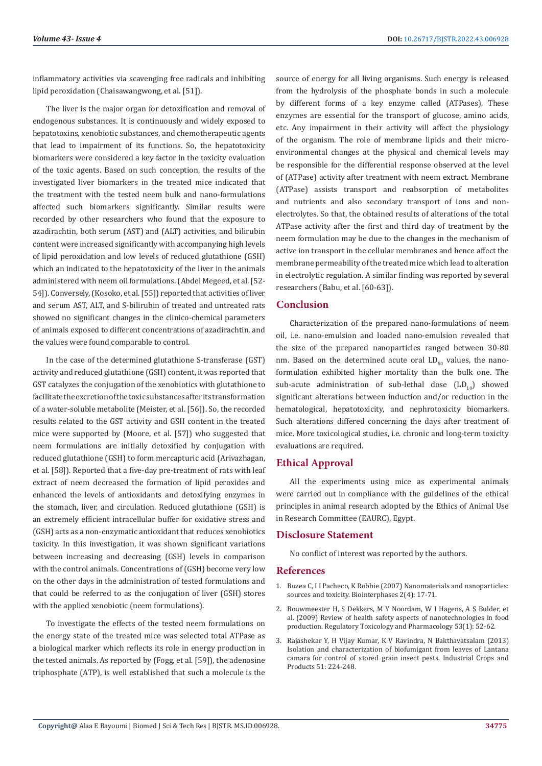inflammatory activities via scavenging free radicals and inhibiting lipid peroxidation (Chaisawangwong, et al. [51]).

The liver is the major organ for detoxification and removal of endogenous substances. It is continuously and widely exposed to hepatotoxins, xenobiotic substances, and chemotherapeutic agents that lead to impairment of its functions. So, the hepatotoxicity biomarkers were considered a key factor in the toxicity evaluation of the toxic agents. Based on such conception, the results of the investigated liver biomarkers in the treated mice indicated that the treatment with the tested neem bulk and nano-formulations affected such biomarkers significantly. Similar results were recorded by other researchers who found that the exposure to azadirachtin, both serum (AST) and (ALT) activities, and bilirubin content were increased significantly with accompanying high levels of lipid peroxidation and low levels of reduced glutathione (GSH) which an indicated to the hepatotoxicity of the liver in the animals administered with neem oil formulations. (Abdel Megeed, et al. [52- 54]). Conversely, (Kosoko, et al. [55]) reported that activities of liver and serum AST, ALT, and S-bilirubin of treated and untreated rats showed no significant changes in the clinico-chemical parameters of animals exposed to different concentrations of azadirachtin, and the values were found comparable to control.

In the case of the determined glutathione S-transferase (GST) activity and reduced glutathione (GSH) content, it was reported that GST catalyzes the conjugation of the xenobiotics with glutathione to facilitate the excretion of the toxic substances after its transformation of a water-soluble metabolite (Meister, et al. [56]). So, the recorded results related to the GST activity and GSH content in the treated mice were supported by (Moore, et al. [57]) who suggested that neem formulations are initially detoxified by conjugation with reduced glutathione (GSH) to form mercapturic acid (Arivazhagan, et al. [58]). Reported that a five-day pre-treatment of rats with leaf extract of neem decreased the formation of lipid peroxides and enhanced the levels of antioxidants and detoxifying enzymes in the stomach, liver, and circulation. Reduced glutathione (GSH) is an extremely efficient intracellular buffer for oxidative stress and (GSH) acts as a non-enzymatic antioxidant that reduces xenobiotics toxicity. In this investigation, it was shown significant variations between increasing and decreasing (GSH) levels in comparison with the control animals. Concentrations of (GSH) become very low on the other days in the administration of tested formulations and that could be referred to as the conjugation of liver (GSH) stores with the applied xenobiotic (neem formulations).

To investigate the effects of the tested neem formulations on the energy state of the treated mice was selected total ATPase as a biological marker which reflects its role in energy production in the tested animals. As reported by (Fogg, et al. [59]), the adenosine triphosphate (ATP), is well established that such a molecule is the source of energy for all living organisms. Such energy is released from the hydrolysis of the phosphate bonds in such a molecule by different forms of a key enzyme called (ATPases). These enzymes are essential for the transport of glucose, amino acids, etc. Any impairment in their activity will affect the physiology of the organism. The role of membrane lipids and their microenvironmental changes at the physical and chemical levels may be responsible for the differential response observed at the level of (ATPase) activity after treatment with neem extract. Membrane (ATPase) assists transport and reabsorption of metabolites and nutrients and also secondary transport of ions and nonelectrolytes. So that, the obtained results of alterations of the total ATPase activity after the first and third day of treatment by the neem formulation may be due to the changes in the mechanism of active ion transport in the cellular membranes and hence affect the membrane permeability of the treated mice which lead to alteration in electrolytic regulation. A similar finding was reported by several researchers (Babu, et al. [60-63]).

#### **Conclusion**

Characterization of the prepared nano-formulations of neem oil, i.e. nano-emulsion and loaded nano-emulsion revealed that the size of the prepared nanoparticles ranged between 30-80 nm. Based on the determined acute oral  $LD_{50}$  values, the nanoformulation exhibited higher mortality than the bulk one. The sub-acute administration of sub-lethal dose  $(LD_{10})$  showed significant alterations between induction and/or reduction in the hematological, hepatotoxicity, and nephrotoxicity biomarkers. Such alterations differed concerning the days after treatment of mice. More toxicological studies, i.e. chronic and long-term toxicity evaluations are required.

# **Ethical Approval**

All the experiments using mice as experimental animals were carried out in compliance with the guidelines of the ethical principles in animal research adopted by the Ethics of Animal Use in Research Committee (EAURC), Egypt.

#### **Disclosure Statement**

No conflict of interest was reported by the authors.

### **References**

- 1. [Buzea C, I I Pacheco, K Robbie \(2007\) Nanomaterials and nanoparticles:](https://avs.scitation.org/doi/10.1116/1.2815690) [sources and toxicity. Biointerphases 2\(4\): 17-71.](https://avs.scitation.org/doi/10.1116/1.2815690)
- 2. [Bouwmeester H, S Dekkers, M Y Noordam, W I Hagens, A S Bulder, et](https://pubmed.ncbi.nlm.nih.gov/19027049/) [al. \(2009\) Review of health safety aspects of nanotechnologies in food](https://pubmed.ncbi.nlm.nih.gov/19027049/) [production. Regulatory Toxicology and Pharmacology 53\(1\): 52-62.](https://pubmed.ncbi.nlm.nih.gov/19027049/)
- 3. [Rajashekar Y, H Vijay Kumar, K V Ravindra, N Bakthavatsalam \(2013\)](https://experts.umn.edu/en/publications/isolation-and-characterization-of-biofumigant-from-leaves-of-lant) [Isolation and characterization of biofumigant from leaves of Lantana](https://experts.umn.edu/en/publications/isolation-and-characterization-of-biofumigant-from-leaves-of-lant) [camara for control of stored grain insect pests. Industrial Crops and](https://experts.umn.edu/en/publications/isolation-and-characterization-of-biofumigant-from-leaves-of-lant) [Products 51: 224-248.](https://experts.umn.edu/en/publications/isolation-and-characterization-of-biofumigant-from-leaves-of-lant)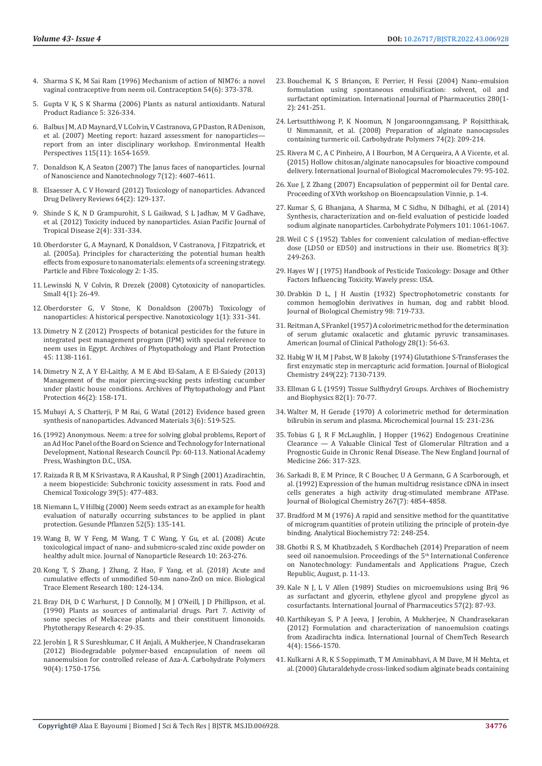- 4. [Sharma S K, M Sai Ram \(1996\) Mechanism of action of NIM76: a novel](https://pubmed.ncbi.nlm.nih.gov/8968666/)  [vaginal contraceptive from neem oil. Contraception 54\(6\): 373-378.](https://pubmed.ncbi.nlm.nih.gov/8968666/)
- 5. [Gupta V K, S K Sharma \(2006\) Plants as natural antioxidants. Natural](http://nopr.niscair.res.in/bitstream/123456789/7962/1/NPR%205%284%29%20326-334.pdf)  [Product Radiance 5: 326-334.](http://nopr.niscair.res.in/bitstream/123456789/7962/1/NPR%205%284%29%20326-334.pdf)
- 6. [Balbus J M, A D Maynard, V L Colvin, V Castranova, G P Daston, R A Denison,](https://ehp.niehs.nih.gov/doi/full/10.1289/ehp.10327)  [et al. \(2007\) Meeting report: hazard assessment for nanoparticles](https://ehp.niehs.nih.gov/doi/full/10.1289/ehp.10327) [report from an inter disciplinary workshop. Environmental Health](https://ehp.niehs.nih.gov/doi/full/10.1289/ehp.10327)  [Perspectives 115\(11\): 1654-1659.](https://ehp.niehs.nih.gov/doi/full/10.1289/ehp.10327)
- 7. [Donaldson K, A Seaton \(2007\) The Janus faces of nanoparticles. Journal](https://www.ingentaconnect.com/content/10.1166/jnn.2007.18113)  [of Nanoscience and Nanotechnology 7\(12\): 4607-4611.](https://www.ingentaconnect.com/content/10.1166/jnn.2007.18113)
- 8. [Elsaesser A, C V Howard \(2012\) Toxicology of nanoparticles. Advanced](https://www.sciencedirect.com/science/article/abs/pii/S0169409X11002328)  [Drug Delivery Reviews 64\(2\): 129-137.](https://www.sciencedirect.com/science/article/abs/pii/S0169409X11002328)
- 9. [Shinde S K, N D Grampurohit, S L Gaikwad, S L Jadhav, M V Gadhave,](https://www.sciencedirect.com/science/article/abs/pii/S2222180812600723)  [et al. \(2012\) Toxicity induced by nanoparticles. Asian Pacific Journal of](https://www.sciencedirect.com/science/article/abs/pii/S2222180812600723)  [Tropical Disease 2\(4\): 331-334.](https://www.sciencedirect.com/science/article/abs/pii/S2222180812600723)
- 10. [Oberdorster G, A Maynard, K Donaldson, V Castranova, J Fitzpatrick, et](https://particleandfibretoxicology.biomedcentral.com/articles/10.1186/1743-8977-2-8)  [al. \(2005a\). Principles for characterizing the potential human health](https://particleandfibretoxicology.biomedcentral.com/articles/10.1186/1743-8977-2-8)  [effects from exposure to nanomaterials: elements of a screening strategy.](https://particleandfibretoxicology.biomedcentral.com/articles/10.1186/1743-8977-2-8)  [Particle and Fibre Toxicology 2: 1-35.](https://particleandfibretoxicology.biomedcentral.com/articles/10.1186/1743-8977-2-8)
- 11. [Lewinski N, V Colvin, R Drezek \(2008\) Cytotoxicity of nanoparticles.](https://onlinelibrary.wiley.com/doi/abs/10.1002/smll.200700595)  [Small 4\(1\): 26-49.](https://onlinelibrary.wiley.com/doi/abs/10.1002/smll.200700595)
- 12. [Oberdorster G, V Stone, K Donaldson \(2007b\) Toxicology of](https://www.tandfonline.com/doi/abs/10.1080/17435390701314761)  [nanoparticles: A historical perspective. Nanotoxicology 1\(1\): 331-341.](https://www.tandfonline.com/doi/abs/10.1080/17435390701314761)
- 13. Dimetry N Z (2012) Prospects of botanical pesticides for the future in integrated pest management program (IPM) with special reference to neem uses in Egypt. Archives of Phytopathology and Plant Protection 45: 1138-1161.
- 14. [Dimetry N Z, A Y El-Laithy, A M E Abd El-Salam, A E El-Saiedy \(2013\)](https://www.tandfonline.com/doi/abs/10.1080/03235408.2012.735543)  [Management of the major piercing-sucking pests infesting cucumber](https://www.tandfonline.com/doi/abs/10.1080/03235408.2012.735543)  [under plastic house conditions. Archives of Phytopathology and Plant](https://www.tandfonline.com/doi/abs/10.1080/03235408.2012.735543)  [Protection 46\(2\): 158-171.](https://www.tandfonline.com/doi/abs/10.1080/03235408.2012.735543)
- 15. [Mubayi A, S Chatterji, P M Rai, G Watal \(2012\) Evidence based green](https://aml.iaamonline.org/article_14275.html)  [synthesis of nanoparticles. Advanced Materials 3\(6\): 519-525.](https://aml.iaamonline.org/article_14275.html)
- 16.[\(1992\) Anonymous. Neem: a tree for solving global problems, Report of](https://pdf.usaid.gov/pdf_docs/PNABN264.pdf)  [an Ad Hoc Panel of the Board on Science and Technology for International](https://pdf.usaid.gov/pdf_docs/PNABN264.pdf)  [Development, National Research Council. Pp: 60-113. National Academy](https://pdf.usaid.gov/pdf_docs/PNABN264.pdf)  [Press, Washington D.C., USA.](https://pdf.usaid.gov/pdf_docs/PNABN264.pdf)
- 17. [Raizada R B, M K Srivastava, R A Kaushal, R P Singh \(2001\) Azadirachtin,](https://www.sciencedirect.com/science/article/abs/pii/S0278691500001538)  [a neem biopesticide: Subchronic toxicity assessment in rats. Food and](https://www.sciencedirect.com/science/article/abs/pii/S0278691500001538)  [Chemical Toxicology 39\(5\): 477-483.](https://www.sciencedirect.com/science/article/abs/pii/S0278691500001538)
- 18. Niemann L, V Hilbig (2000) Neem seeds extract as an example for health evaluation of naturally occurring substances to be applied in plant protection. Gesunde Pflanzen 52(5): 135-141.
- 19. [Wang B, W Y Feng, M Wang, T C Wang, Y Gu, et al. \(2008\) Acute](https://link.springer.com/article/10.1007/s11051-007-9245-3)  [toxicological impact of nano- and submicro-scaled zinc oxide powder on](https://link.springer.com/article/10.1007/s11051-007-9245-3)  [healthy adult mice. Journal of Nanoparticle Research 10: 263-276.](https://link.springer.com/article/10.1007/s11051-007-9245-3)
- 20. [Kong T, S Zhang, J Zhang, Z Hao, F Yang, et al. \(2018\) Acute and](https://link.springer.com/article/10.1007/s12011-017-1233-6)  [cumulative effects of unmodified 50-nm nano-ZnO on mice. Biological](https://link.springer.com/article/10.1007/s12011-017-1233-6)  [Trace Element Research 180: 124-134.](https://link.springer.com/article/10.1007/s12011-017-1233-6)
- 21. Bray DH, D C Warhurst, J D Connolly, M J O'Neill, J D Phillipson, et al. (1990) Plants as sources of antimalarial drugs. Part 7. Activity of some species of Meliaceae plants and their constituent limonoids. Phytotherapy Research 4: 29-35.
- 22. [Jerobin J, R S Sureshkumar, C H Anjali, A Mukherjee, N Chandrasekaran](https://pubmed.ncbi.nlm.nih.gov/22944443/)  [\(2012\) Biodegradable polymer-based encapsulation of neem oil](https://pubmed.ncbi.nlm.nih.gov/22944443/)  [nanoemulsion for controlled release of Aza-A. Carbohydrate Polymers](https://pubmed.ncbi.nlm.nih.gov/22944443/)  [90\(4\): 1750-1756.](https://pubmed.ncbi.nlm.nih.gov/22944443/)
- 23. [Bouchemal K, S Briançon, E Perrier, H Fessi \(2004\) Nano-emulsion](https://pubmed.ncbi.nlm.nih.gov/15265563/) [formulation using spontaneous emulsification: solvent, oil and](https://pubmed.ncbi.nlm.nih.gov/15265563/) [surfactant optimization. International Journal of Pharmaceutics 280\(1-](https://pubmed.ncbi.nlm.nih.gov/15265563/) [2\): 241-251.](https://pubmed.ncbi.nlm.nih.gov/15265563/)
- 24. [Lertsutthiwong P, K Noomun, N Jongaroonngamsang, P Rojsitthisak,](https://www.sciencedirect.com/science/article/abs/pii/S0144861708000817) [U Nimmannit, et al. \(2008\) Preparation of alginate nanocapsules](https://www.sciencedirect.com/science/article/abs/pii/S0144861708000817) [containing turmeric oil. Carbohydrate Polymers 74\(2\): 209-214.](https://www.sciencedirect.com/science/article/abs/pii/S0144861708000817)
- 25. [Rivera M C, A C Pinheiro, A I Bourbon, M A Cerqueira, A A Vicente, et al.](https://pubmed.ncbi.nlm.nih.gov/25907011/) [\(2015\) Hollow chitosan/alginate nanocapsules for bioactive compound](https://pubmed.ncbi.nlm.nih.gov/25907011/) [delivery. International Journal of Biological Macromolecules 79: 95-102.](https://pubmed.ncbi.nlm.nih.gov/25907011/)
- 26. Xue J, Z Zhang (2007) Encapsulation of peppermint oil for Dental care. Proceeding of XVth workshop on Bioencapsulation Vinnie, p. 1-4.
- 27. [Kumar S, G Bhanjana, A Sharma, M C Sidhu, N Dilbaghi, et al. \(2014\)](https://pubmed.ncbi.nlm.nih.gov/24299874/) [Synthesis, characterization and on-field evaluation of pesticide loaded](https://pubmed.ncbi.nlm.nih.gov/24299874/) [sodium alginate nanoparticles. Carbohydrate Polymers 101: 1061-1067.](https://pubmed.ncbi.nlm.nih.gov/24299874/)
- 28. [Weil C S \(1952\) Tables for convenient calculation of median-effective](https://www.jstor.org/stable/3001557) [dose \(LD50 or ED50\) and instructions in their use. Biometrics 8\(3\):](https://www.jstor.org/stable/3001557) [249-263.](https://www.jstor.org/stable/3001557)
- 29. Hayes W J (1975) Handbook of Pesticide Toxicology: Dosage and Other Factors Influencing Toxicity. Wavely press: USA.
- 30. [Drabkin D L, J H Austin \(1932\) Spectrophotometric constants for](https://www.scirp.org/(S(lz5mqp453ed%20snp55rrgjct55))/reference/referencespapers.aspx?referenceid=1807226) [common hemoglobin derivatives in human, dog and rabbit blood.](https://www.scirp.org/(S(lz5mqp453ed%20snp55rrgjct55))/reference/referencespapers.aspx?referenceid=1807226) [Journal of Biological Chemistry 98: 719-733.](https://www.scirp.org/(S(lz5mqp453ed%20snp55rrgjct55))/reference/referencespapers.aspx?referenceid=1807226)
- 31. [Reitman A, S Frankel \(1957\) A colorimetric method for the determination](https://academic.oup.com/ajcp/article-abstract/28/1/56/1767988) [of serum glutamic oxalacetic and glutamic pyruvic transaminases.](https://academic.oup.com/ajcp/article-abstract/28/1/56/1767988) [American Journal of Clinical Pathology 28\(1\): 56-63.](https://academic.oup.com/ajcp/article-abstract/28/1/56/1767988)
- 32. [Habig W H, M J Pabst, W B Jakoby \(1974\) Glutathione S-Transferases the](https://pubmed.ncbi.nlm.nih.gov/4436300/) [first enzymatic step in mercapturic acid formation. Journal of Biological](https://pubmed.ncbi.nlm.nih.gov/4436300/) [Chemistry 249\(22\): 7130-7139.](https://pubmed.ncbi.nlm.nih.gov/4436300/)
- 33. [Ellman G L \(1959\) Tissue Sulfhydryl Groups. Archives of Biochemistry](https://www.sciencedirect.com/science/article/abs/pii/0003986159900906) [and Biophysics 82\(1\): 70-77.](https://www.sciencedirect.com/science/article/abs/pii/0003986159900906)
- 34. Walter M, H Gerade (1970) A colorimetric method for determination bilirubin in serum and plasma. Microchemical Journal 15: 231-236.
- 35. [Tobias G J, R F McLaughlin, J Hopper \(1962\) Endogenous Creatinine](https://www.nejm.org/doi/full/10.1056/NEJM196202152660701) [Clearance — A Valuable Clinical Test of Glomerular Filtration and a](https://www.nejm.org/doi/full/10.1056/NEJM196202152660701) [Prognostic Guide in Chronic Renal Disease. The New England Journal of](https://www.nejm.org/doi/full/10.1056/NEJM196202152660701) [Medicine 266: 317-323.](https://www.nejm.org/doi/full/10.1056/NEJM196202152660701)
- 36. [Sarkadi B, E M Prince, R C Boucher, U A Germann, G A Scarborough, et](https://pubmed.ncbi.nlm.nih.gov/1347044/) [al. \(1992\) Expression of the human multidrug resistance cDNA in insect](https://pubmed.ncbi.nlm.nih.gov/1347044/) [cells generates a high activity drug-stimulated membrane ATPase.](https://pubmed.ncbi.nlm.nih.gov/1347044/) [Journal of Biological Chemistry 267\(7\): 4854-4858.](https://pubmed.ncbi.nlm.nih.gov/1347044/)
- 37. [Bradford M M \(1976\) A rapid and sensitive method for the quantitative](https://pubmed.ncbi.nlm.nih.gov/942051/) [of microgram quantities of protein utilizing the principle of protein-dye](https://pubmed.ncbi.nlm.nih.gov/942051/) [binding. Analytical Biochemistry 72: 248-254.](https://pubmed.ncbi.nlm.nih.gov/942051/)
- 38. [Ghotbi R S, M Khatibzadeh, S Kordbacheh \(2014\) Preparation of neem](https://avestia.com/ICNFA2014_Proceedings/papers/150.pdf) [seed oil nanoemulsion. Proceedings of the 5](https://avestia.com/ICNFA2014_Proceedings/papers/150.pdf)<sup>th</sup> International Conference [on Nanotechnology: Fundamentals and Applications Prague, Czech](https://avestia.com/ICNFA2014_Proceedings/papers/150.pdf) [Republic, August, p. 11-13.](https://avestia.com/ICNFA2014_Proceedings/papers/150.pdf)
- 39. [Kale N J, L V Allen \(1989\) Studies on microemulsions using Brij 96](https://www.sciencedirect.com/science/article/abs/pii/0378517389902962) [as surfactant and glycerin, ethylene glycol and propylene glycol as](https://www.sciencedirect.com/science/article/abs/pii/0378517389902962) [cosurfactants. International Journal of Pharmaceutics 57\(2\): 87-93.](https://www.sciencedirect.com/science/article/abs/pii/0378517389902962)
- 40. [Karthikeyan S, P A Jeeva, J Jerobin, A Mukherjee, N Chandrasekaran](https://www.sphinxsai.com/2012/oct-dec/chempdf/CT=46(1566-1570)OD12.pdf) [\(2012\) Formulation and characterization of nanoemulsion coatings](https://www.sphinxsai.com/2012/oct-dec/chempdf/CT=46(1566-1570)OD12.pdf) [from Azadirachta indica. International Journal of ChemTech Research](https://www.sphinxsai.com/2012/oct-dec/chempdf/CT=46(1566-1570)OD12.pdf) [4\(4\): 1566-1570.](https://www.sphinxsai.com/2012/oct-dec/chempdf/CT=46(1566-1570)OD12.pdf)
- 41. [Kulkarni A R, K S Soppimath, T M Aminabhavi, A M Dave, M H Mehta, et](https://www.sciencedirect.com/science/article/abs/pii/S0168365999001765) [al. \(2000\) Glutaraldehyde cross-linked sodium alginate beads containing](https://www.sciencedirect.com/science/article/abs/pii/S0168365999001765)